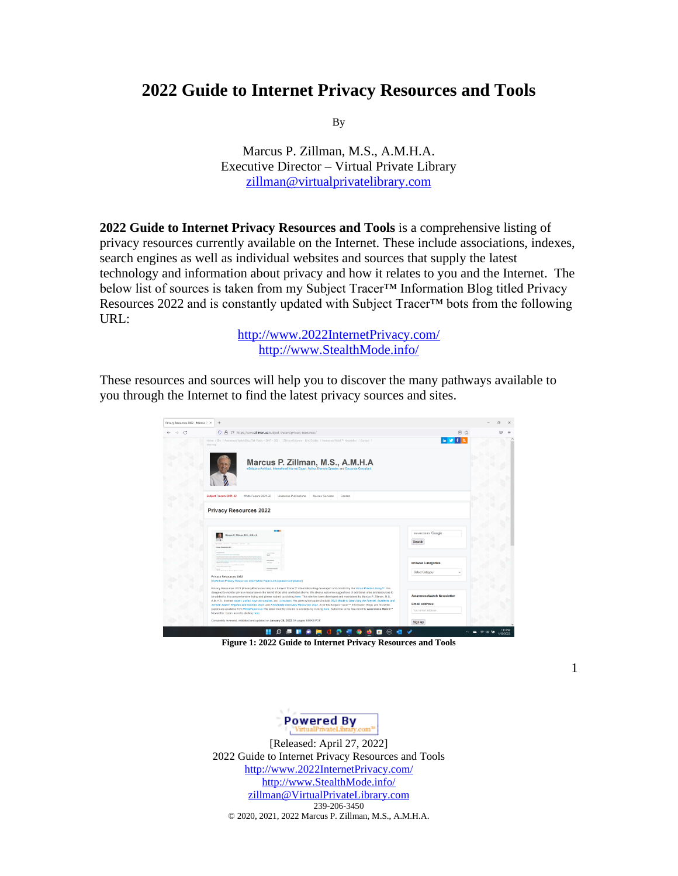# **2022 Guide to Internet Privacy Resources and Tools**

By

Marcus P. Zillman, M.S., A.M.H.A. Executive Director – Virtual Private Library [zillman@virtualprivatelibrary.com](mailto:zillman@virtualprivatelibrary.com)

**2022 Guide to Internet Privacy Resources and Tools** is a comprehensive listing of privacy resources currently available on the Internet. These include associations, indexes, search engines as well as individual websites and sources that supply the latest technology and information about privacy and how it relates to you and the Internet. The below list of sources is taken from my Subject Tracer™ Information Blog titled Privacy Resources 2022 and is constantly updated with Subject Tracer™ bots from the following URL:

> [http://www.2022InternetPrivacy.com/](http://www.2022internetprivacy.com/) [http://www.StealthMode.info/](http://www.stealthmode.info/)

These resources and sources will help you to discover the many pathways available to you through the Internet to find the latest privacy sources and sites.



**Figure 1: 2022 Guide to Internet Privacy Resources and Tools**

**Powered By** 

[Released: April 27, 2022] 2022 Guide to Internet Privacy Resources and Tools [http://www.2022InternetPrivacy.com/](http://www.2022internetprivacy.com/) [http://www.StealthMode.info/](http://www.stealthmode.info/) [zillman@VirtualPrivateLibrary.com](mailto:zillman@VirtualPrivateLibrary.com) 239-206-3450 © 2020, 2021, 2022 Marcus P. Zillman, M.S., A.M.H.A.

1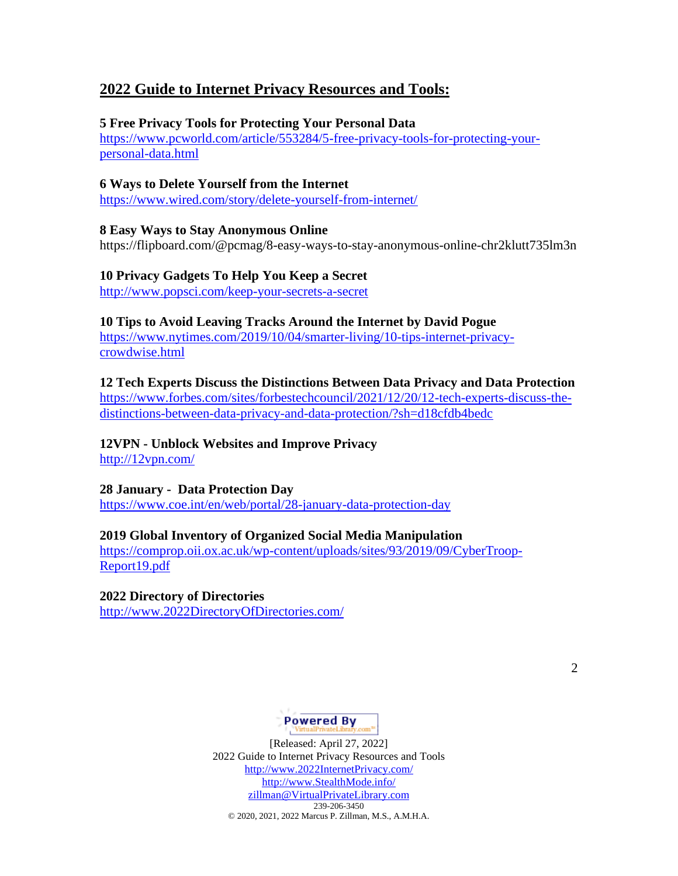# **2022 Guide to Internet Privacy Resources and Tools:**

## **5 Free Privacy Tools for Protecting Your Personal Data**

[https://www.pcworld.com/article/553284/5-free-privacy-tools-for-protecting-your](https://www.pcworld.com/article/553284/5-free-privacy-tools-for-protecting-your-personal-data.html)[personal-data.html](https://www.pcworld.com/article/553284/5-free-privacy-tools-for-protecting-your-personal-data.html)

### **6 Ways to Delete Yourself from the Internet**

<https://www.wired.com/story/delete-yourself-from-internet/>

### **8 Easy Ways to Stay Anonymous Online**

https://flipboard.com/@pcmag/8-easy-ways-to-stay-anonymous-online-chr2klutt735lm3n

# **10 Privacy Gadgets To Help You Keep a Secret**

<http://www.popsci.com/keep-your-secrets-a-secret>

# **10 Tips to Avoid Leaving Tracks Around the Internet by David Pogue**

[https://www.nytimes.com/2019/10/04/smarter-living/10-tips-internet-privacy](https://www.nytimes.com/2019/10/04/smarter-living/10-tips-internet-privacy-crowdwise.html)[crowdwise.html](https://www.nytimes.com/2019/10/04/smarter-living/10-tips-internet-privacy-crowdwise.html)

# **12 Tech Experts Discuss the Distinctions Between Data Privacy and Data Protection**

[https://www.forbes.com/sites/forbestechcouncil/2021/12/20/12-tech-experts-discuss-the](https://www.forbes.com/sites/forbestechcouncil/2021/12/20/12-tech-experts-discuss-the-distinctions-between-data-privacy-and-data-protection/?sh=d18cfdb4bedc)[distinctions-between-data-privacy-and-data-protection/?sh=d18cfdb4bedc](https://www.forbes.com/sites/forbestechcouncil/2021/12/20/12-tech-experts-discuss-the-distinctions-between-data-privacy-and-data-protection/?sh=d18cfdb4bedc)

# **12VPN - Unblock Websites and Improve Privacy**

<http://12vpn.com/>

# **28 January - Data Protection Day**

<https://www.coe.int/en/web/portal/28-january-data-protection-day>

# **2019 Global Inventory of Organized Social Media Manipulation**

[https://comprop.oii.ox.ac.uk/wp-content/uploads/sites/93/2019/09/CyberTroop-](https://comprop.oii.ox.ac.uk/wp-content/uploads/sites/93/2019/09/CyberTroop-Report19.pdf)[Report19.pdf](https://comprop.oii.ox.ac.uk/wp-content/uploads/sites/93/2019/09/CyberTroop-Report19.pdf)

### **2022 Directory of Directories**

[http://www.2022DirectoryOfDirectories.com/](http://www.2022directoryofdirectories.com/)

# Powered By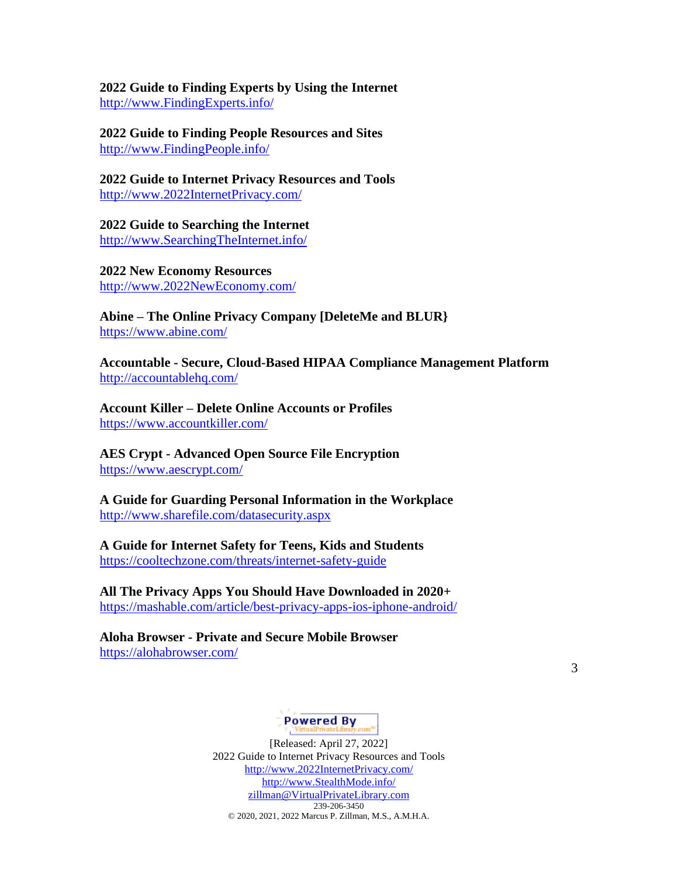### **2022 Guide to Finding Experts by Using the Internet** [http://www.FindingExperts.info/](http://www.findingexperts.info/)

**2022 Guide to Finding People Resources and Sites** [http://www.FindingPeople.info/](http://www.findingpeople.info/)

**2022 Guide to Internet Privacy Resources and Tools** [http://www.2022InternetPrivacy.com/](http://www.2022internetprivacy.com/)

**2022 Guide to Searching the Internet**  [http://www.SearchingTheInternet.info/](http://www.searchingtheinternet.info/)

**2022 New Economy Resources**  [http://www.2022NewEconomy.com/](http://www.2022neweconomy.com/)

**Abine – The Online Privacy Company [DeleteMe and BLUR}** <https://www.abine.com/>

**Accountable - Secure, Cloud-Based HIPAA Compliance Management Platform** <http://accountablehq.com/>

**Account Killer – Delete Online Accounts or Profiles** <https://www.accountkiller.com/>

**AES Crypt - Advanced Open Source File Encryption** <https://www.aescrypt.com/>

**A Guide for Guarding Personal Information in the Workplace** <http://www.sharefile.com/datasecurity.aspx>

**A Guide for Internet Safety for Teens, Kids and Students** <https://cooltechzone.com/threats/internet-safety-guide>

**All The Privacy Apps You Should Have Downloaded in 2020+**

<https://mashable.com/article/best-privacy-apps-ios-iphone-android/>

**Aloha Browser - Private and Secure Mobile Browser** <https://alohabrowser.com/>

3

# **Powered By**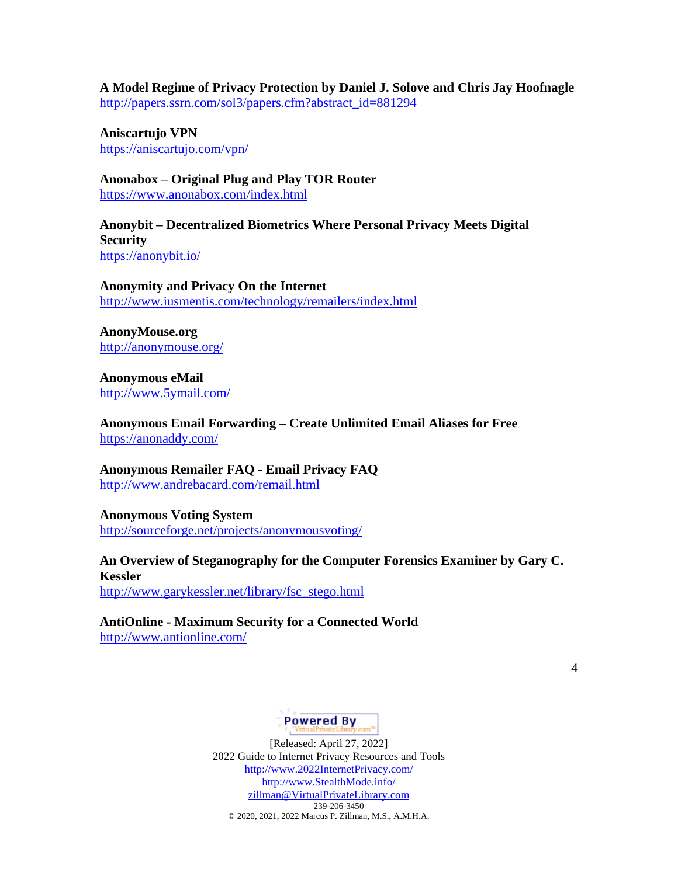**A Model Regime of Privacy Protection by Daniel J. Solove and Chris Jay Hoofnagle** [http://papers.ssrn.com/sol3/papers.cfm?abstract\\_id=881294](http://papers.ssrn.com/sol3/papers.cfm?abstract_id=881294)

**Aniscartujo VPN** <https://aniscartujo.com/vpn/>

**Anonabox – Original Plug and Play TOR Router** <https://www.anonabox.com/index.html>

**Anonybit – Decentralized Biometrics Where Personal Privacy Meets Digital Security** <https://anonybit.io/>

**Anonymity and Privacy On the Internet** <http://www.iusmentis.com/technology/remailers/index.html>

**AnonyMouse.org** <http://anonymouse.org/>

**Anonymous eMail** <http://www.5ymail.com/>

**Anonymous Email Forwarding – Create Unlimited Email Aliases for Free** <https://anonaddy.com/>

**Anonymous Remailer FAQ - Email Privacy FAQ** <http://www.andrebacard.com/remail.html>

**Anonymous Voting System** <http://sourceforge.net/projects/anonymousvoting/>

# **An Overview of Steganography for the Computer Forensics Examiner by Gary C. Kessler**

[http://www.garykessler.net/library/fsc\\_stego.html](http://www.garykessler.net/library/fsc_stego.html)

### **AntiOnline - Maximum Security for a Connected World** <http://www.antionline.com/>

4

# **Powered By**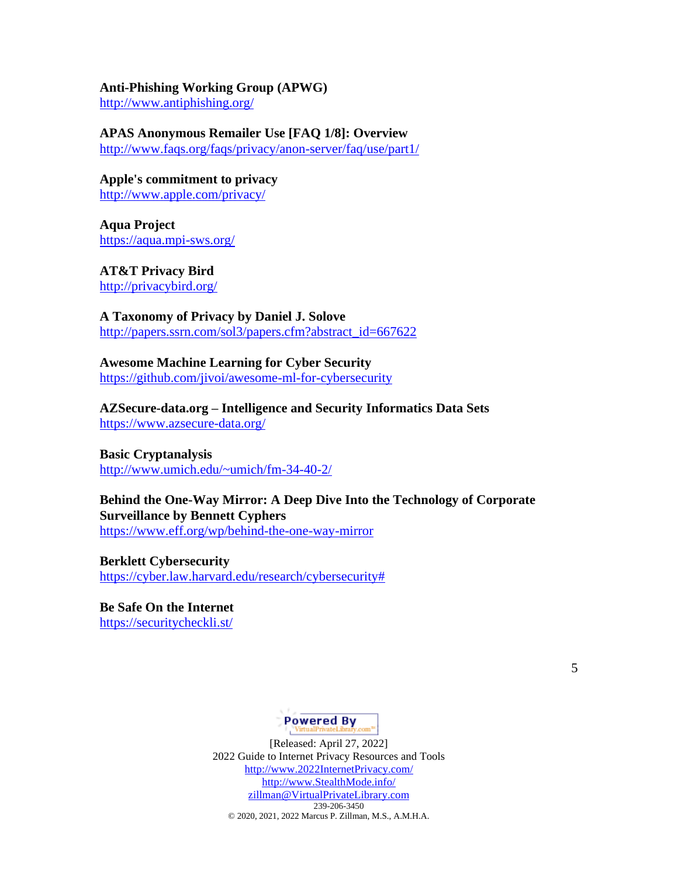### **Anti-Phishing Working Group (APWG)**

<http://www.antiphishing.org/>

#### **APAS Anonymous Remailer Use [FAQ 1/8]: Overview**

<http://www.faqs.org/faqs/privacy/anon-server/faq/use/part1/>

**Apple's commitment to privacy** <http://www.apple.com/privacy/>

**Aqua Project** <https://aqua.mpi-sws.org/>

**AT&T Privacy Bird** <http://privacybird.org/>

**A Taxonomy of Privacy by Daniel J. Solove** [http://papers.ssrn.com/sol3/papers.cfm?abstract\\_id=667622](http://papers.ssrn.com/sol3/papers.cfm?abstract_id=667622)

# **Awesome Machine Learning for Cyber Security**

<https://github.com/jivoi/awesome-ml-for-cybersecurity>

**AZSecure-data.org – Intelligence and Security Informatics Data Sets** <https://www.azsecure-data.org/>

#### **Basic Cryptanalysis**

<http://www.umich.edu/~umich/fm-34-40-2/>

## **Behind the One-Way Mirror: A Deep Dive Into the Technology of Corporate Surveillance by Bennett Cyphers** <https://www.eff.org/wp/behind-the-one-way-mirror>

**Berklett Cybersecurity** [https://cyber.law.harvard.edu/research/cybersecurity#](https://cyber.law.harvard.edu/research/cybersecurity)

**Be Safe On the Internet** <https://securitycheckli.st/>

5

# **Powered By**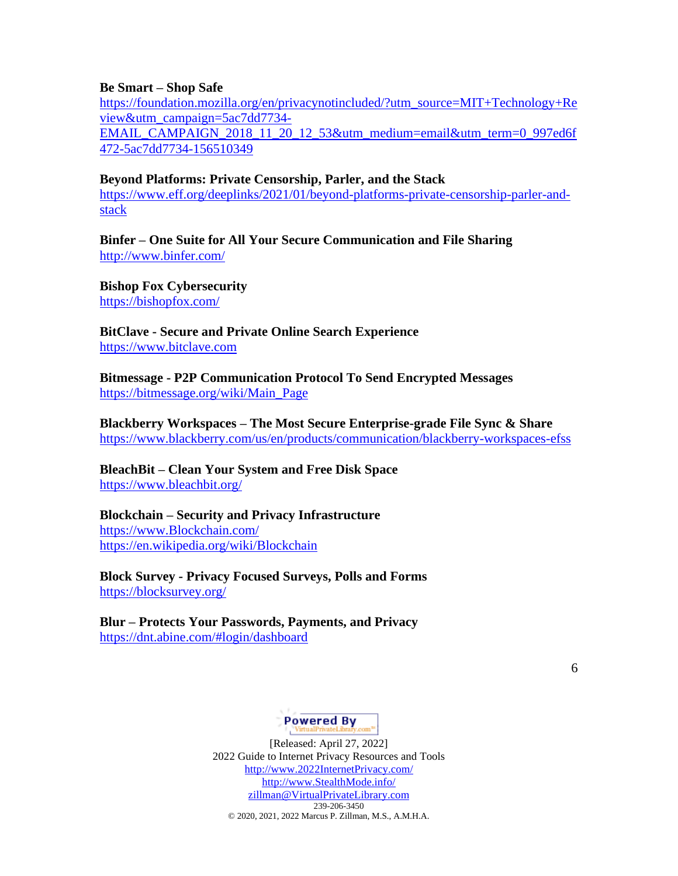#### **Be Smart – Shop Safe**

[https://foundation.mozilla.org/en/privacynotincluded/?utm\\_source=MIT+Technology+Re](https://foundation.mozilla.org/en/privacynotincluded/?utm_source=MIT+Technology+Review&utm_campaign=5ac7dd7734-EMAIL_CAMPAIGN_2018_11_20_12_53&utm_medium=email&utm_term=0_997ed6f472-5ac7dd7734-156510349) [view&utm\\_campaign=5ac7dd7734-](https://foundation.mozilla.org/en/privacynotincluded/?utm_source=MIT+Technology+Review&utm_campaign=5ac7dd7734-EMAIL_CAMPAIGN_2018_11_20_12_53&utm_medium=email&utm_term=0_997ed6f472-5ac7dd7734-156510349)

[EMAIL\\_CAMPAIGN\\_2018\\_11\\_20\\_12\\_53&utm\\_medium=email&utm\\_term=0\\_997ed6f](https://foundation.mozilla.org/en/privacynotincluded/?utm_source=MIT+Technology+Review&utm_campaign=5ac7dd7734-EMAIL_CAMPAIGN_2018_11_20_12_53&utm_medium=email&utm_term=0_997ed6f472-5ac7dd7734-156510349) [472-5ac7dd7734-156510349](https://foundation.mozilla.org/en/privacynotincluded/?utm_source=MIT+Technology+Review&utm_campaign=5ac7dd7734-EMAIL_CAMPAIGN_2018_11_20_12_53&utm_medium=email&utm_term=0_997ed6f472-5ac7dd7734-156510349)

### **Beyond Platforms: Private Censorship, Parler, and the Stack**

[https://www.eff.org/deeplinks/2021/01/beyond-platforms-private-censorship-parler-and](https://www.eff.org/deeplinks/2021/01/beyond-platforms-private-censorship-parler-and-stack)[stack](https://www.eff.org/deeplinks/2021/01/beyond-platforms-private-censorship-parler-and-stack)

**Binfer – One Suite for All Your Secure Communication and File Sharing** <http://www.binfer.com/>

**Bishop Fox Cybersecurity**  <https://bishopfox.com/>

**BitClave - Secure and Private Online Search Experience** [https://www.bitclave.com](https://www.bitclave.com/)

**Bitmessage - P2P Communication Protocol To Send Encrypted Messages** [https://bitmessage.org/wiki/Main\\_Page](https://bitmessage.org/wiki/Main_Page)

**Blackberry Workspaces – The Most Secure Enterprise-grade File Sync & Share** <https://www.blackberry.com/us/en/products/communication/blackberry-workspaces-efss>

**BleachBit – Clean Your System and Free Disk Space** <https://www.bleachbit.org/>

### **Blockchain – Security and Privacy Infrastructure**

[https://www.Blockchain.com/](https://www.blockchain.com/) <https://en.wikipedia.org/wiki/Blockchain>

**Block Survey - Privacy Focused Surveys, Polls and Forms** <https://blocksurvey.org/>

**Blur – Protects Your Passwords, Payments, and Privacy** <https://dnt.abine.com/#login/dashboard>

6

# Powered By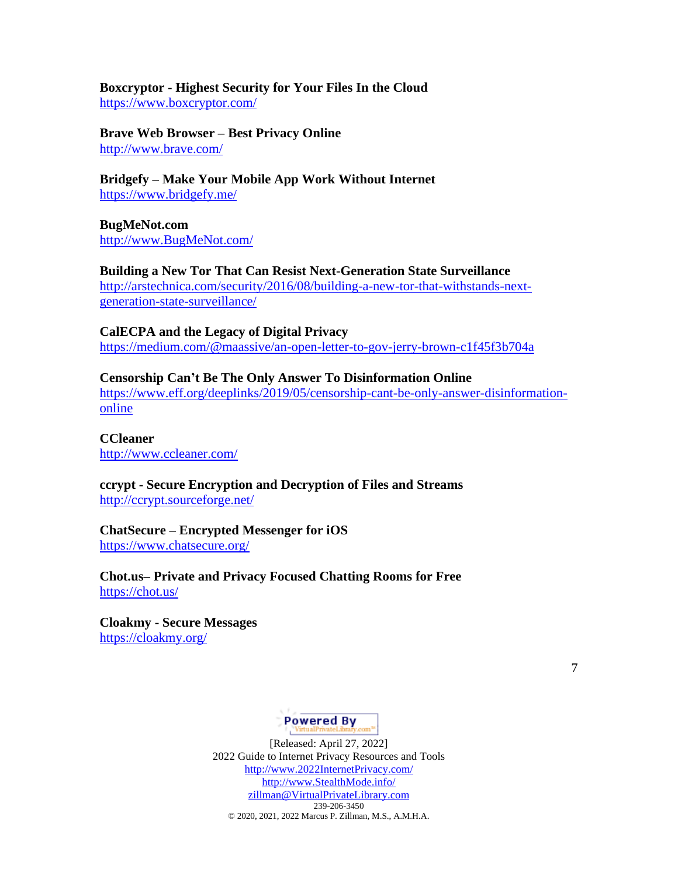**Boxcryptor - Highest Security for Your Files In the Cloud** <https://www.boxcryptor.com/>

**Brave Web Browser – Best Privacy Online** <http://www.brave.com/>

**Bridgefy – Make Your Mobile App Work Without Internet** <https://www.bridgefy.me/>

**BugMeNot.com** [http://www.BugMeNot.com/](http://www.bugmenot.com/)

**Building a New Tor That Can Resist Next-Generation State Surveillance** [http://arstechnica.com/security/2016/08/building-a-new-tor-that-withstands-next](http://arstechnica.com/security/2016/08/building-a-new-tor-that-withstands-next-generation-state-surveillance/)[generation-state-surveillance/](http://arstechnica.com/security/2016/08/building-a-new-tor-that-withstands-next-generation-state-surveillance/)

**CalECPA and the Legacy of Digital Privacy** <https://medium.com/@maassive/an-open-letter-to-gov-jerry-brown-c1f45f3b704a>

**Censorship Can't Be The Only Answer To Disinformation Online** [https://www.eff.org/deeplinks/2019/05/censorship-cant-be-only-answer-disinformation](https://www.eff.org/deeplinks/2019/05/censorship-cant-be-only-answer-disinformation-online)[online](https://www.eff.org/deeplinks/2019/05/censorship-cant-be-only-answer-disinformation-online)

**CCleaner** <http://www.ccleaner.com/>

**ccrypt - Secure Encryption and Decryption of Files and Streams** <http://ccrypt.sourceforge.net/>

**ChatSecure – Encrypted Messenger for iOS**  <https://www.chatsecure.org/>

**Chot.us– Private and Privacy Focused Chatting Rooms for Free** <https://chot.us/>

**Cloakmy - Secure Messages** <https://cloakmy.org/>

7

# Powered By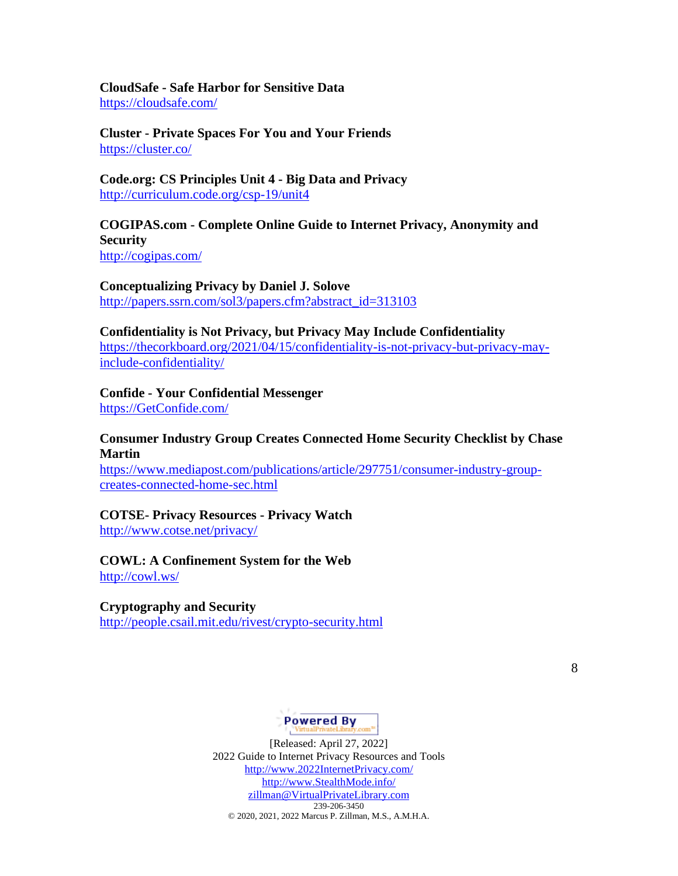**CloudSafe - Safe Harbor for Sensitive Data** <https://cloudsafe.com/>

**Cluster - Private Spaces For You and Your Friends** <https://cluster.co/>

**Code.org: CS Principles Unit 4 - Big Data and Privacy** <http://curriculum.code.org/csp-19/unit4>

### **COGIPAS.com - Complete Online Guide to Internet Privacy, Anonymity and Security** <http://cogipas.com/>

**Conceptualizing Privacy by Daniel J. Solove** [http://papers.ssrn.com/sol3/papers.cfm?abstract\\_id=313103](http://papers.ssrn.com/sol3/papers.cfm?abstract_id=313103)

#### **Confidentiality is Not Privacy, but Privacy May Include Confidentiality**

[https://thecorkboard.org/2021/04/15/confidentiality-is-not-privacy-but-privacy-may](https://thecorkboard.org/2021/04/15/confidentiality-is-not-privacy-but-privacy-may-include-confidentiality/)[include-confidentiality/](https://thecorkboard.org/2021/04/15/confidentiality-is-not-privacy-but-privacy-may-include-confidentiality/)

#### **Confide - Your Confidential Messenger**

[https://GetConfide.com/](https://getconfide.com/)

### **Consumer Industry Group Creates Connected Home Security Checklist by Chase Martin**

[https://www.mediapost.com/publications/article/297751/consumer-industry-group](https://www.mediapost.com/publications/article/297751/consumer-industry-group-creates-connected-home-sec.html)[creates-connected-home-sec.html](https://www.mediapost.com/publications/article/297751/consumer-industry-group-creates-connected-home-sec.html)

#### **COTSE- Privacy Resources - Privacy Watch**

<http://www.cotse.net/privacy/>

#### **COWL: A Confinement System for the Web**

<http://cowl.ws/>

### **Cryptography and Security**

<http://people.csail.mit.edu/rivest/crypto-security.html>

8

# **Powered By**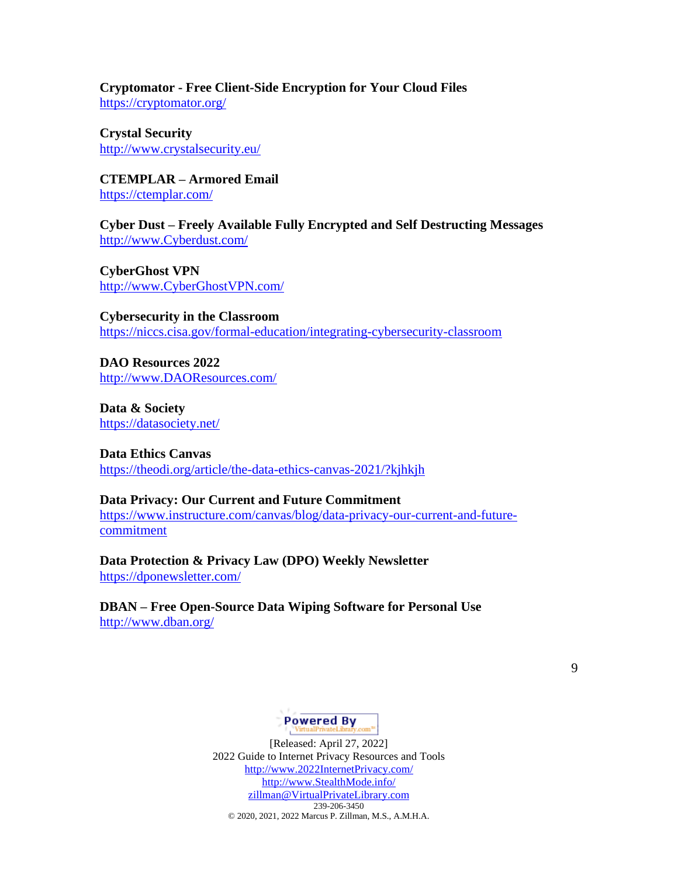**Cryptomator - Free Client-Side Encryption for Your Cloud Files** <https://cryptomator.org/>

**Crystal Security** <http://www.crystalsecurity.eu/>

**CTEMPLAR – Armored Email** <https://ctemplar.com/>

**Cyber Dust – Freely Available Fully Encrypted and Self Destructing Messages** [http://www.Cyberdust.com/](http://www.cyberdust.com/)

**CyberGhost VPN** [http://www.CyberGhostVPN.com/](http://www.cyberghostvpn.com/)

**Cybersecurity in the Classroom** <https://niccs.cisa.gov/formal-education/integrating-cybersecurity-classroom>

**DAO Resources 2022** [http://www.DAOResources.com/](http://www.daoresources.com/)

**Data & Society** <https://datasociety.net/>

**Data Ethics Canvas** <https://theodi.org/article/the-data-ethics-canvas-2021/?kjhkjh>

**Data Privacy: Our Current and Future Commitment** [https://www.instructure.com/canvas/blog/data-privacy-our-current-and-future](https://www.instructure.com/canvas/blog/data-privacy-our-current-and-future-commitment)[commitment](https://www.instructure.com/canvas/blog/data-privacy-our-current-and-future-commitment)

**Data Protection & Privacy Law (DPO) Weekly Newsletter** <https://dponewsletter.com/>

**DBAN – Free Open-Source Data Wiping Software for Personal Use** <http://www.dban.org/>

# **Powered By**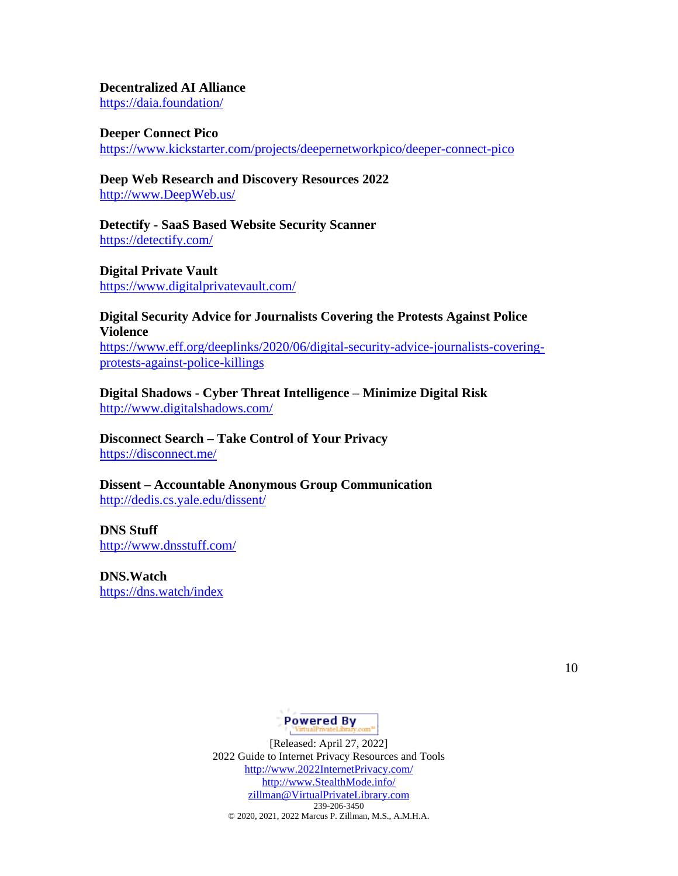### **Decentralized AI Alliance**

<https://daia.foundation/>

#### **Deeper Connect Pico**

<https://www.kickstarter.com/projects/deepernetworkpico/deeper-connect-pico>

# **Deep Web Research and Discovery Resources 2022**

[http://www.DeepWeb.us/](http://www.deepweb.us/)

### **Detectify - SaaS Based Website Security Scanner** <https://detectify.com/>

**Digital Private Vault** <https://www.digitalprivatevault.com/>

#### **Digital Security Advice for Journalists Covering the Protests Against Police Violence**

[https://www.eff.org/deeplinks/2020/06/digital-security-advice-journalists-covering](https://www.eff.org/deeplinks/2020/06/digital-security-advice-journalists-covering-protests-against-police-killings)[protests-against-police-killings](https://www.eff.org/deeplinks/2020/06/digital-security-advice-journalists-covering-protests-against-police-killings)

**Digital Shadows - Cyber Threat Intelligence – Minimize Digital Risk** <http://www.digitalshadows.com/>

### **Disconnect Search – Take Control of Your Privacy** <https://disconnect.me/>

**Dissent – Accountable Anonymous Group Communication** <http://dedis.cs.yale.edu/dissent/>

# **DNS Stuff** <http://www.dnsstuff.com/>

**DNS.Watch** <https://dns.watch/index>

10

# Powered By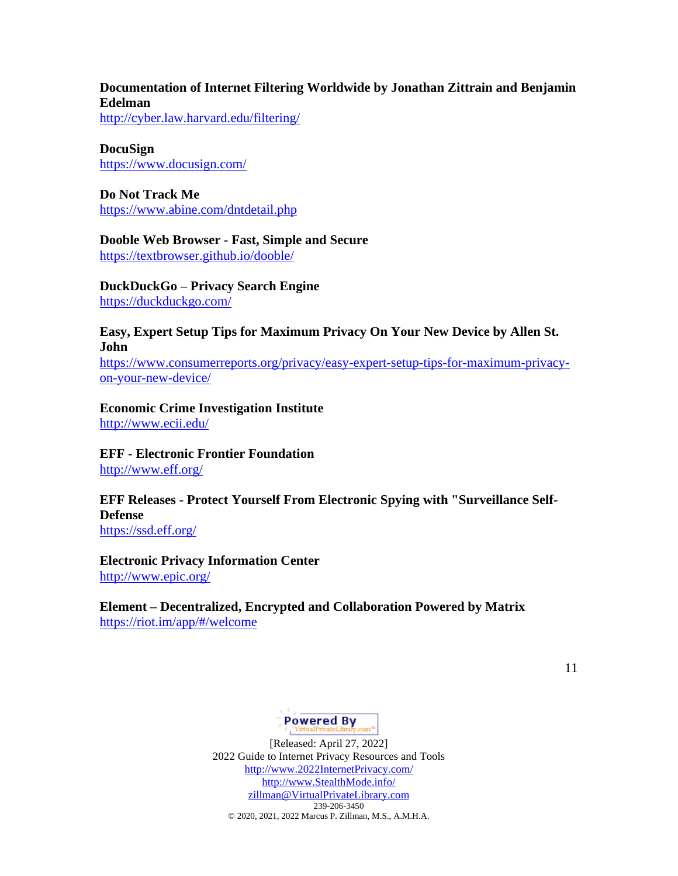# **Documentation of Internet Filtering Worldwide by Jonathan Zittrain and Benjamin Edelman**

<http://cyber.law.harvard.edu/filtering/>

## **DocuSign**

<https://www.docusign.com/>

# **Do Not Track Me** <https://www.abine.com/dntdetail.php>

**Dooble Web Browser - Fast, Simple and Secure** <https://textbrowser.github.io/dooble/>

**DuckDuckGo – Privacy Search Engine** <https://duckduckgo.com/>

### **Easy, Expert Setup Tips for Maximum Privacy On Your New Device by Allen St. John**

[https://www.consumerreports.org/privacy/easy-expert-setup-tips-for-maximum-privacy](https://www.consumerreports.org/privacy/easy-expert-setup-tips-for-maximum-privacy-on-your-new-device/)[on-your-new-device/](https://www.consumerreports.org/privacy/easy-expert-setup-tips-for-maximum-privacy-on-your-new-device/)

# **Economic Crime Investigation Institute**

<http://www.ecii.edu/>

#### **EFF - Electronic Frontier Foundation** <http://www.eff.org/>

# **EFF Releases - Protect Yourself From Electronic Spying with "Surveillance Self-Defense**

<https://ssd.eff.org/>

### **Electronic Privacy Information Center** <http://www.epic.org/>

# **Element – Decentralized, Encrypted and Collaboration Powered by Matrix** <https://riot.im/app/#/welcome>

11

# **Powered By**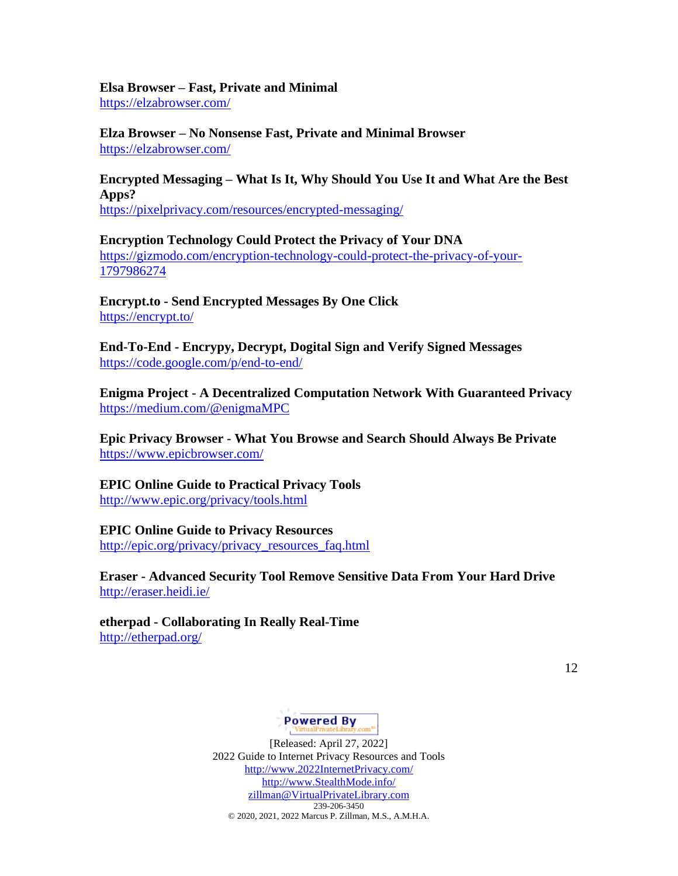# **Elsa Browser – Fast, Private and Minimal**

<https://elzabrowser.com/>

**Elza Browser – No Nonsense Fast, Private and Minimal Browser** <https://elzabrowser.com/>

# **Encrypted Messaging – What Is It, Why Should You Use It and What Are the Best Apps?**

<https://pixelprivacy.com/resources/encrypted-messaging/>

**Encryption Technology Could Protect the Privacy of Your DNA** [https://gizmodo.com/encryption-technology-could-protect-the-privacy-of-your-](https://gizmodo.com/encryption-technology-could-protect-the-privacy-of-your-1797986274)[1797986274](https://gizmodo.com/encryption-technology-could-protect-the-privacy-of-your-1797986274)

**Encrypt.to - Send Encrypted Messages By One Click** <https://encrypt.to/>

**End-To-End - Encrypy, Decrypt, Dogital Sign and Verify Signed Messages** <https://code.google.com/p/end-to-end/>

**Enigma Project - A Decentralized Computation Network With Guaranteed Privacy** <https://medium.com/@enigmaMPC>

**Epic Privacy Browser - What You Browse and Search Should Always Be Private** <https://www.epicbrowser.com/>

# **EPIC Online Guide to Practical Privacy Tools**

<http://www.epic.org/privacy/tools.html>

# **EPIC Online Guide to Privacy Resources**

[http://epic.org/privacy/privacy\\_resources\\_faq.html](http://epic.org/privacy/privacy_resources_faq.html)

**Eraser - Advanced Security Tool Remove Sensitive Data From Your Hard Drive** <http://eraser.heidi.ie/>

**etherpad - Collaborating In Really Real-Time** <http://etherpad.org/>

12

# Powered By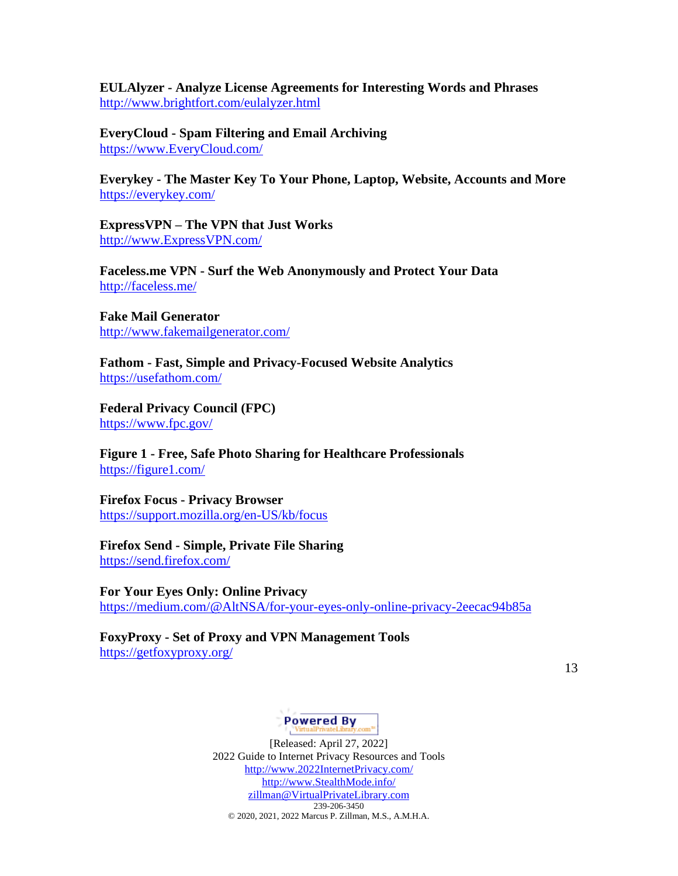**EULAlyzer - Analyze License Agreements for Interesting Words and Phrases** <http://www.brightfort.com/eulalyzer.html>

**EveryCloud - Spam Filtering and Email Archiving** [https://www.EveryCloud.com/](https://www.everycloud.com/)

**Everykey - The Master Key To Your Phone, Laptop, Website, Accounts and More** <https://everykey.com/>

**ExpressVPN – The VPN that Just Works** [http://www.ExpressVPN.com/](http://www.expressvpn.com/)

**Faceless.me VPN - Surf the Web Anonymously and Protect Your Data** <http://faceless.me/>

**Fake Mail Generator** <http://www.fakemailgenerator.com/>

**Fathom - Fast, Simple and Privacy-Focused Website Analytics** <https://usefathom.com/>

**Federal Privacy Council (FPC)** <https://www.fpc.gov/>

**Figure 1 - Free, Safe Photo Sharing for Healthcare Professionals** <https://figure1.com/>

**Firefox Focus - Privacy Browser** <https://support.mozilla.org/en-US/kb/focus>

# **Firefox Send - Simple, Private File Sharing**

<https://send.firefox.com/>

#### **For Your Eyes Only: Online Privacy**

<https://medium.com/@AltNSA/for-your-eyes-only-online-privacy-2eecac94b85a>

# **FoxyProxy - Set of Proxy and VPN Management Tools**

<https://getfoxyproxy.org/>

13

# **Powered By**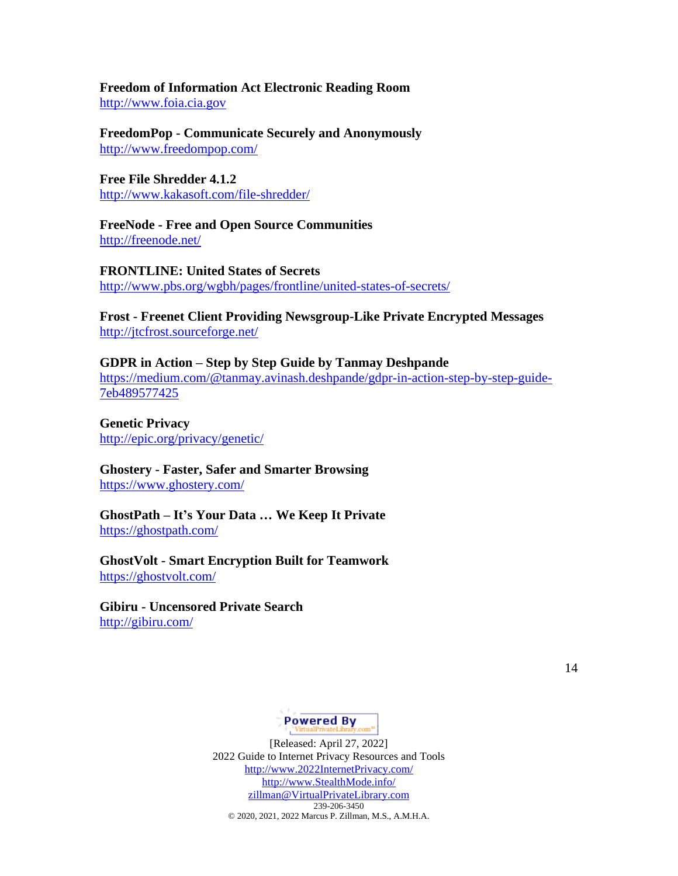#### **Freedom of Information Act Electronic Reading Room** [http://www.foia.cia.gov](http://www.foia.cia.gov/)

**FreedomPop - Communicate Securely and Anonymously** <http://www.freedompop.com/>

**Free File Shredder 4.1.2** <http://www.kakasoft.com/file-shredder/>

**FreeNode - Free and Open Source Communities** <http://freenode.net/>

**FRONTLINE: United States of Secrets** <http://www.pbs.org/wgbh/pages/frontline/united-states-of-secrets/>

**Frost - Freenet Client Providing Newsgroup-Like Private Encrypted Messages** <http://jtcfrost.sourceforge.net/>

**GDPR in Action – Step by Step Guide by Tanmay Deshpande** [https://medium.com/@tanmay.avinash.deshpande/gdpr-in-action-step-by-step-guide-](https://medium.com/@tanmay.avinash.deshpande/gdpr-in-action-step-by-step-guide-7eb489577425)[7eb489577425](https://medium.com/@tanmay.avinash.deshpande/gdpr-in-action-step-by-step-guide-7eb489577425)

**Genetic Privacy** <http://epic.org/privacy/genetic/>

**Ghostery - Faster, Safer and Smarter Browsing** <https://www.ghostery.com/>

**GhostPath – It's Your Data … We Keep It Private** <https://ghostpath.com/>

**GhostVolt - Smart Encryption Built for Teamwork** <https://ghostvolt.com/>

**Gibiru - Uncensored Private Search** <http://gibiru.com/>

14

# **Powered By**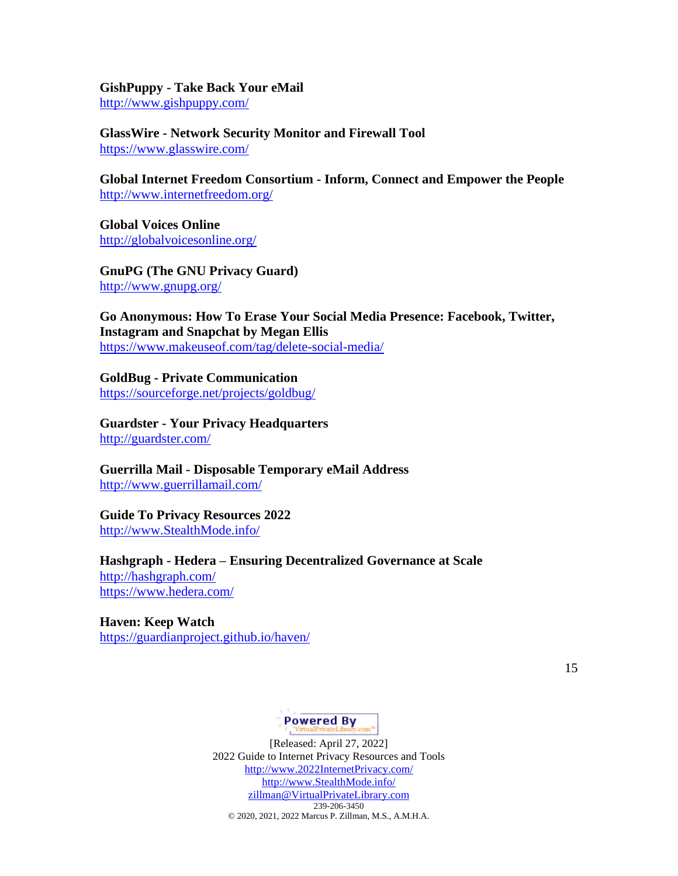**GishPuppy - Take Back Your eMail** <http://www.gishpuppy.com/>

**GlassWire - Network Security Monitor and Firewall Tool** <https://www.glasswire.com/>

**Global Internet Freedom Consortium - Inform, Connect and Empower the People** <http://www.internetfreedom.org/>

**Global Voices Online** <http://globalvoicesonline.org/>

**GnuPG (The GNU Privacy Guard)** <http://www.gnupg.org/>

**Go Anonymous: How To Erase Your Social Media Presence: Facebook, Twitter, Instagram and Snapchat by Megan Ellis** <https://www.makeuseof.com/tag/delete-social-media/>

**GoldBug - Private Communication** <https://sourceforge.net/projects/goldbug/>

**Guardster - Your Privacy Headquarters** <http://guardster.com/>

**Guerrilla Mail - Disposable Temporary eMail Address** <http://www.guerrillamail.com/>

### **Guide To Privacy Resources 2022**

[http://www.StealthMode.info/](http://www.stealthmode.info/)

**Hashgraph - Hedera – Ensuring Decentralized Governance at Scale** <http://hashgraph.com/>

<https://www.hedera.com/>

**Haven: Keep Watch** <https://guardianproject.github.io/haven/>

15

# **Powered By**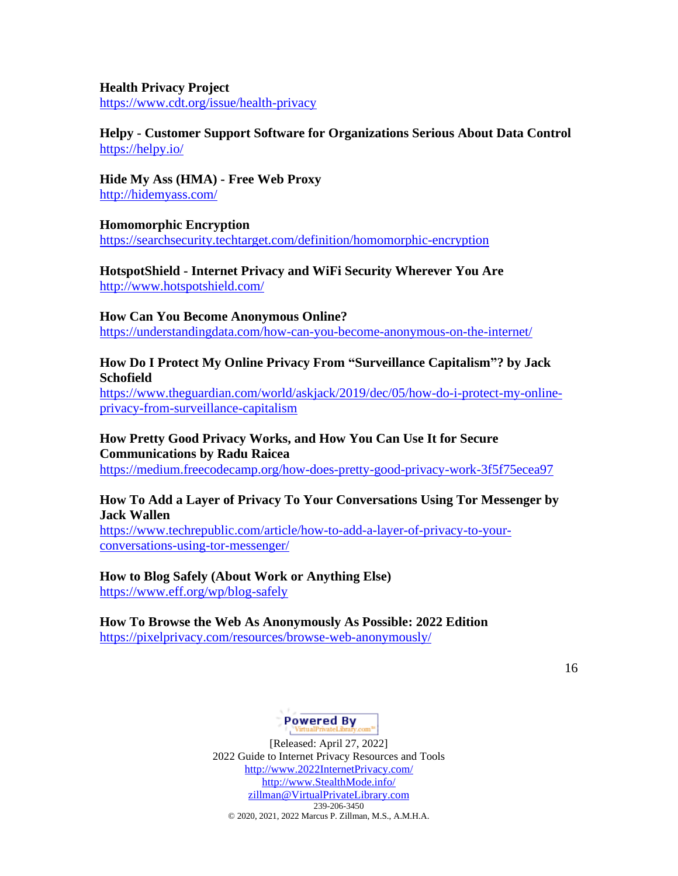# **Health Privacy Project**

<https://www.cdt.org/issue/health-privacy>

### **Helpy - Customer Support Software for Organizations Serious About Data Control** <https://helpy.io/>

**Hide My Ass (HMA) - Free Web Proxy** <http://hidemyass.com/>

### **Homomorphic Encryption**

<https://searchsecurity.techtarget.com/definition/homomorphic-encryption>

**HotspotShield - Internet Privacy and WiFi Security Wherever You Are** <http://www.hotspotshield.com/>

#### **How Can You Become Anonymous Online?**

<https://understandingdata.com/how-can-you-become-anonymous-on-the-internet/>

### **How Do I Protect My Online Privacy From "Surveillance Capitalism"? by Jack Schofield**

[https://www.theguardian.com/world/askjack/2019/dec/05/how-do-i-protect-my-online](https://www.theguardian.com/world/askjack/2019/dec/05/how-do-i-protect-my-online-privacy-from-surveillance-capitalism)[privacy-from-surveillance-capitalism](https://www.theguardian.com/world/askjack/2019/dec/05/how-do-i-protect-my-online-privacy-from-surveillance-capitalism)

### **How Pretty Good Privacy Works, and How You Can Use It for Secure Communications by Radu Raicea**

<https://medium.freecodecamp.org/how-does-pretty-good-privacy-work-3f5f75ecea97>

#### **How To Add a Layer of Privacy To Your Conversations Using Tor Messenger by Jack Wallen**

[https://www.techrepublic.com/article/how-to-add-a-layer-of-privacy-to-your](https://www.techrepublic.com/article/how-to-add-a-layer-of-privacy-to-your-conversations-using-tor-messenger/)[conversations-using-tor-messenger/](https://www.techrepublic.com/article/how-to-add-a-layer-of-privacy-to-your-conversations-using-tor-messenger/)

#### **How to Blog Safely (About Work or Anything Else)**

<https://www.eff.org/wp/blog-safely>

# **How To Browse the Web As Anonymously As Possible: 2022 Edition**

<https://pixelprivacy.com/resources/browse-web-anonymously/>

16

# Powered By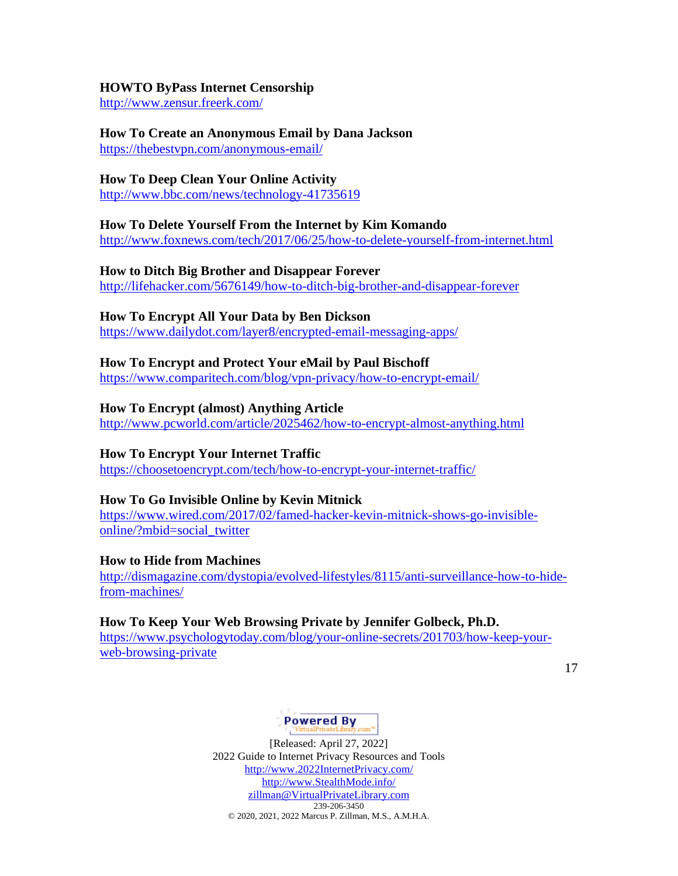### **HOWTO ByPass Internet Censorship**

<http://www.zensur.freerk.com/>

### **How To Create an Anonymous Email by Dana Jackson**

<https://thebestvpn.com/anonymous-email/>

### **How To Deep Clean Your Online Activity**

<http://www.bbc.com/news/technology-41735619>

### **How To Delete Yourself From the Internet by Kim Komando**

<http://www.foxnews.com/tech/2017/06/25/how-to-delete-yourself-from-internet.html>

### **How to Ditch Big Brother and Disappear Forever**

<http://lifehacker.com/5676149/how-to-ditch-big-brother-and-disappear-forever>

### **How To Encrypt All Your Data by Ben Dickson**

<https://www.dailydot.com/layer8/encrypted-email-messaging-apps/>

### **How To Encrypt and Protect Your eMail by Paul Bischoff**

<https://www.comparitech.com/blog/vpn-privacy/how-to-encrypt-email/>

### **How To Encrypt (almost) Anything Article**

<http://www.pcworld.com/article/2025462/how-to-encrypt-almost-anything.html>

### **How To Encrypt Your Internet Traffic**

<https://choosetoencrypt.com/tech/how-to-encrypt-your-internet-traffic/>

#### **How To Go Invisible Online by Kevin Mitnick**

[https://www.wired.com/2017/02/famed-hacker-kevin-mitnick-shows-go-invisible](https://www.wired.com/2017/02/famed-hacker-kevin-mitnick-shows-go-invisible-online/?mbid=social_twitter)[online/?mbid=social\\_twitter](https://www.wired.com/2017/02/famed-hacker-kevin-mitnick-shows-go-invisible-online/?mbid=social_twitter)

#### **How to Hide from Machines**

[http://dismagazine.com/dystopia/evolved-lifestyles/8115/anti-surveillance-how-to-hide](http://dismagazine.com/dystopia/evolved-lifestyles/8115/anti-surveillance-how-to-hide-from-machines/)[from-machines/](http://dismagazine.com/dystopia/evolved-lifestyles/8115/anti-surveillance-how-to-hide-from-machines/)

### **How To Keep Your Web Browsing Private by Jennifer Golbeck, Ph.D.**

[https://www.psychologytoday.com/blog/your-online-secrets/201703/how-keep-your](https://www.psychologytoday.com/blog/your-online-secrets/201703/how-keep-your-web-browsing-private)[web-browsing-private](https://www.psychologytoday.com/blog/your-online-secrets/201703/how-keep-your-web-browsing-private)

17

# Powered By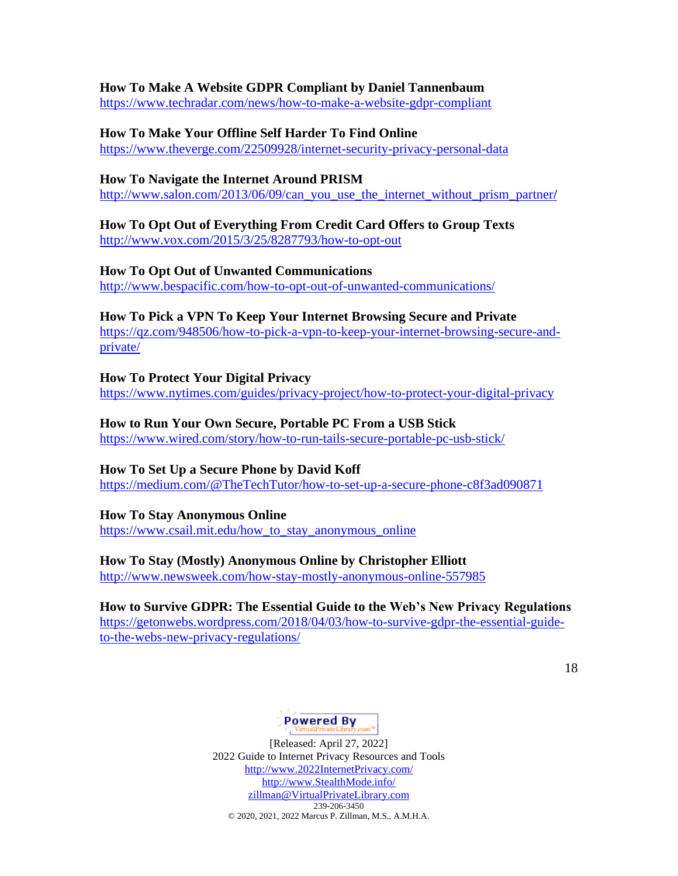#### **How To Make A Website GDPR Compliant by Daniel Tannenbaum**

<https://www.techradar.com/news/how-to-make-a-website-gdpr-compliant>

### **How To Make Your Offline Self Harder To Find Online**

<https://www.theverge.com/22509928/internet-security-privacy-personal-data>

### **How To Navigate the Internet Around PRISM**

[http://www.salon.com/2013/06/09/can\\_you\\_use\\_the\\_internet\\_without\\_prism\\_partner](http://www.salon.com/2013/06/09/can_you_use_the_internet_without_prism_partner/)**/**

# **How To Opt Out of Everything From Credit Card Offers to Group Texts**

<http://www.vox.com/2015/3/25/8287793/how-to-opt-out>

### **How To Opt Out of Unwanted Communications**

<http://www.bespacific.com/how-to-opt-out-of-unwanted-communications/>

### **How To Pick a VPN To Keep Your Internet Browsing Secure and Private**

[https://qz.com/948506/how-to-pick-a-vpn-to-keep-your-internet-browsing-secure-and](https://qz.com/948506/how-to-pick-a-vpn-to-keep-your-internet-browsing-secure-and-private/)[private/](https://qz.com/948506/how-to-pick-a-vpn-to-keep-your-internet-browsing-secure-and-private/)

### **How To Protect Your Digital Privacy**

<https://www.nytimes.com/guides/privacy-project/how-to-protect-your-digital-privacy>

### **How to Run Your Own Secure, Portable PC From a USB Stick**

<https://www.wired.com/story/how-to-run-tails-secure-portable-pc-usb-stick/>

### **How To Set Up a Secure Phone by David Koff**

<https://medium.com/@TheTechTutor/how-to-set-up-a-secure-phone-c8f3ad090871>

### **How To Stay Anonymous Online**

[https://www.csail.mit.edu/how\\_to\\_stay\\_anonymous\\_online](https://www.csail.mit.edu/how_to_stay_anonymous_online)

### **How To Stay (Mostly) Anonymous Online by Christopher Elliott**

<http://www.newsweek.com/how-stay-mostly-anonymous-online-557985>

### **How to Survive GDPR: The Essential Guide to the Web's New Privacy Regulations**

[https://getonwebs.wordpress.com/2018/04/03/how-to-survive-gdpr-the-essential-guide](https://getonwebs.wordpress.com/2018/04/03/how-to-survive-gdpr-the-essential-guide-to-the-webs-new-privacy-regulations/)[to-the-webs-new-privacy-regulations/](https://getonwebs.wordpress.com/2018/04/03/how-to-survive-gdpr-the-essential-guide-to-the-webs-new-privacy-regulations/)

18

# Powered By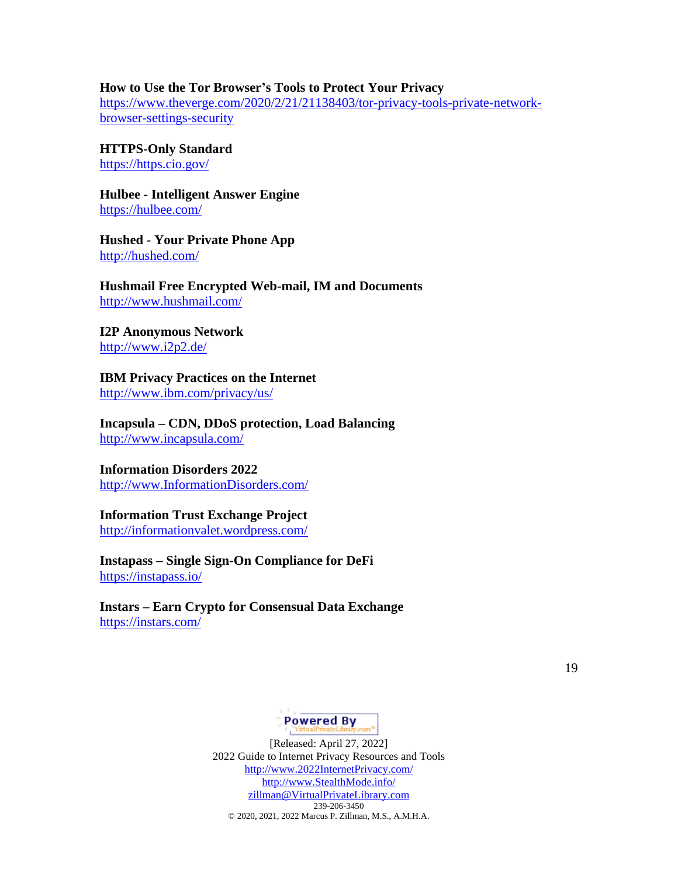#### **How to Use the Tor Browser's Tools to Protect Your Privacy**

[https://www.theverge.com/2020/2/21/21138403/tor-privacy-tools-private-network](https://www.theverge.com/2020/2/21/21138403/tor-privacy-tools-private-network-browser-settings-security)[browser-settings-security](https://www.theverge.com/2020/2/21/21138403/tor-privacy-tools-private-network-browser-settings-security)

**HTTPS-Only Standard** <https://https.cio.gov/>

**Hulbee - Intelligent Answer Engine** <https://hulbee.com/>

**Hushed - Your Private Phone App** <http://hushed.com/>

**Hushmail Free Encrypted Web-mail, IM and Documents** <http://www.hushmail.com/>

**I2P Anonymous Network** <http://www.i2p2.de/>

**IBM Privacy Practices on the Internet** <http://www.ibm.com/privacy/us/>

**Incapsula – CDN, DDoS protection, Load Balancing**  <http://www.incapsula.com/>

# **Information Disorders 2022**

[http://www.InformationDisorders.com/](http://www.informationdisorders.com/)

#### **Information Trust Exchange Project**

<http://informationvalet.wordpress.com/>

**Instapass – Single Sign-On Compliance for DeFi** <https://instapass.io/>

**Instars – Earn Crypto for Consensual Data Exchange** <https://instars.com/>

19

### **Powered By**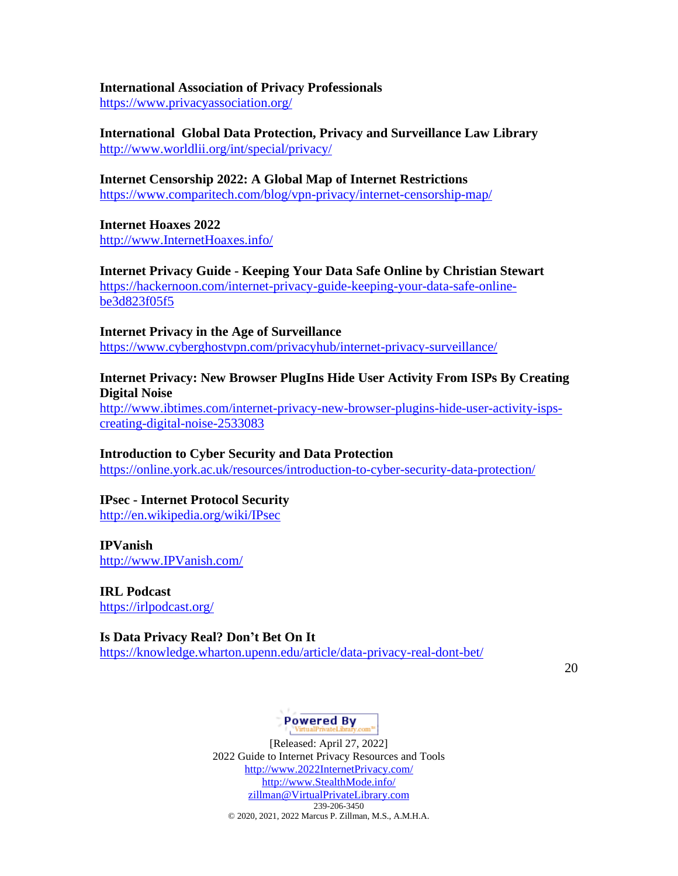#### **International Association of Privacy Professionals**

<https://www.privacyassociation.org/>

**International Global Data Protection, Privacy and Surveillance Law Library** <http://www.worldlii.org/int/special/privacy/>

**Internet Censorship 2022: A Global Map of Internet Restrictions** <https://www.comparitech.com/blog/vpn-privacy/internet-censorship-map/>

**Internet Hoaxes 2022** [http://www.InternetHoaxes.info/](http://www.internethoaxes.info/)

**Internet Privacy Guide - Keeping Your Data Safe Online by Christian Stewar[t](https://hackernoon.com/internet-privacy-guide-keeping-your-data-safe-online-be3d823f05f5)** [https://hackernoon.com/internet-privacy-guide-keeping-your-data-safe-online](https://hackernoon.com/internet-privacy-guide-keeping-your-data-safe-online-be3d823f05f5)[be3d823f05f5](https://hackernoon.com/internet-privacy-guide-keeping-your-data-safe-online-be3d823f05f5)

**Internet Privacy in the Age of Surveillance** <https://www.cyberghostvpn.com/privacyhub/internet-privacy-surveillance/>

### **Internet Privacy: New Browser PlugIns Hide User Activity From ISPs By Creating Digital Noise**

[http://www.ibtimes.com/internet-privacy-new-browser-plugins-hide-user-activity-isps](http://www.ibtimes.com/internet-privacy-new-browser-plugins-hide-user-activity-isps-creating-digital-noise-2533083)[creating-digital-noise-2533083](http://www.ibtimes.com/internet-privacy-new-browser-plugins-hide-user-activity-isps-creating-digital-noise-2533083)

**Introduction to Cyber Security and Data Protection** <https://online.york.ac.uk/resources/introduction-to-cyber-security-data-protection/>

# **IPsec - Internet Protocol Security**

<http://en.wikipedia.org/wiki/IPsec>

### **IPVanish**

[http://www.IPVanish.com/](http://www.ipvanish.com/)

**IRL Podcast** <https://irlpodcast.org/>

### **Is Data Privacy Real? Don't Bet On It**

<https://knowledge.wharton.upenn.edu/article/data-privacy-real-dont-bet/>

20

# Powered By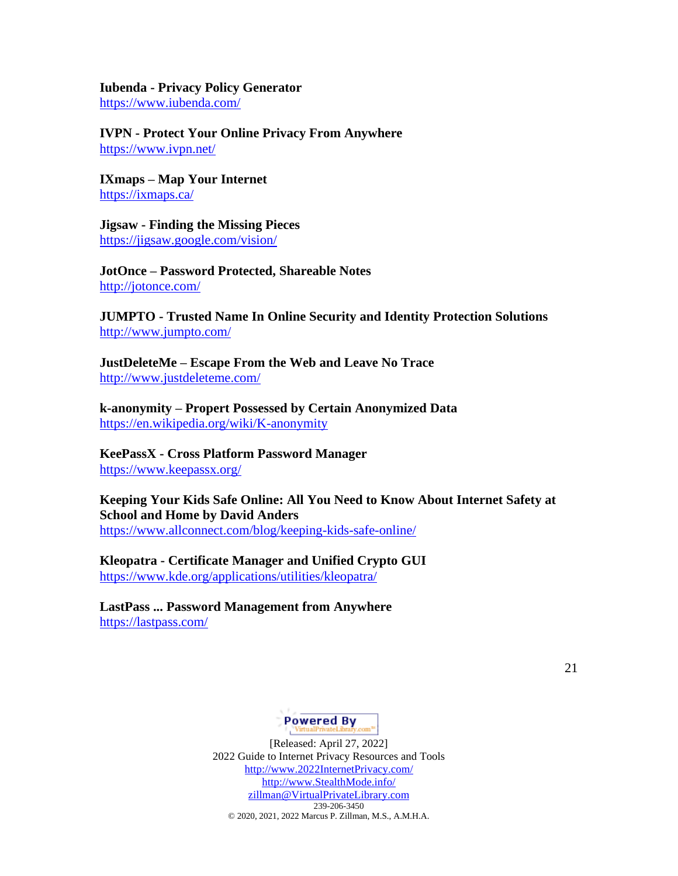#### **Iubenda - Privacy Policy Generator**

<https://www.iubenda.com/>

**IVPN - Protect Your Online Privacy From Anywhere** <https://www.ivpn.net/>

**IXmaps – Map Your Internet** <https://ixmaps.ca/>

**Jigsaw - Finding the Missing Pieces** <https://jigsaw.google.com/vision/>

**JotOnce – Password Protected, Shareable Notes** <http://jotonce.com/>

**JUMPTO - Trusted Name In Online Security and Identity Protection Solutions** <http://www.jumpto.com/>

**JustDeleteMe – Escape From the Web and Leave No Trace** <http://www.justdeleteme.com/>

**k-anonymity – Propert Possessed by Certain Anonymized Data** <https://en.wikipedia.org/wiki/K-anonymity>

# **KeePassX - Cross Platform Password Manager**

<https://www.keepassx.org/>

**Keeping Your Kids Safe Online: All You Need to Know About Internet Safety at School and Home by David Anders** <https://www.allconnect.com/blog/keeping-kids-safe-online/>

**Kleopatra - Certificate Manager and Unified Crypto GUI**

<https://www.kde.org/applications/utilities/kleopatra/>

**LastPass ... Password Management from Anywhere** <https://lastpass.com/>

21

# Powered By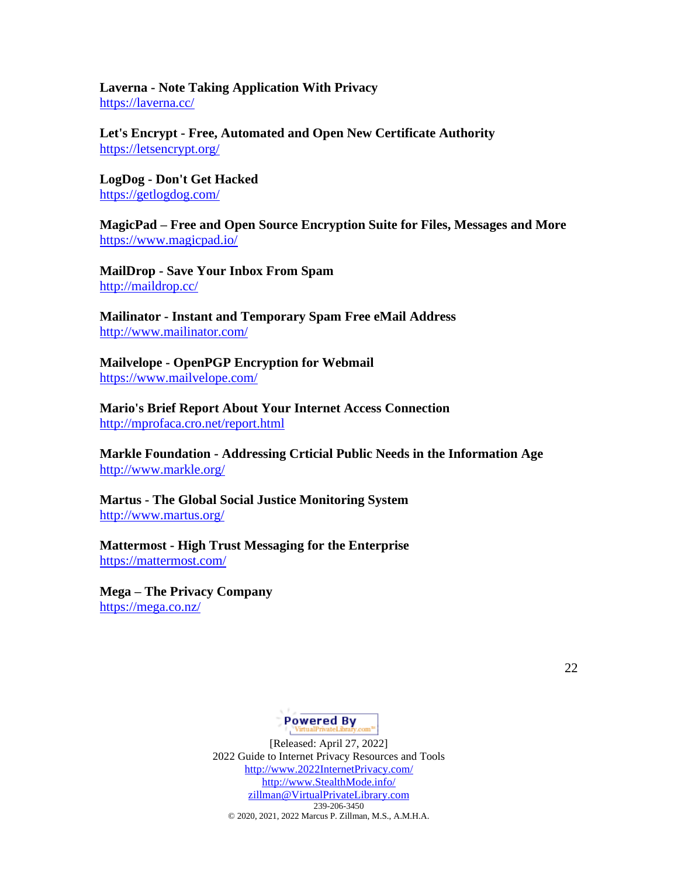**Laverna - Note Taking Application With Privacy** <https://laverna.cc/>

**Let's Encrypt - Free, Automated and Open New Certificate Authority** <https://letsencrypt.org/>

**LogDog - Don't Get Hacked** <https://getlogdog.com/>

**MagicPad – Free and Open Source Encryption Suite for Files, Messages and More** <https://www.magicpad.io/>

**MailDrop - Save Your Inbox From Spam** <http://maildrop.cc/>

**Mailinator - Instant and Temporary Spam Free eMail Address** <http://www.mailinator.com/>

**Mailvelope - OpenPGP Encryption for Webmail** <https://www.mailvelope.com/>

**Mario's Brief Report About Your Internet Access Connection** <http://mprofaca.cro.net/report.html>

**Markle Foundation - Addressing Crticial Public Needs in the Information Age** <http://www.markle.org/>

**Martus - The Global Social Justice Monitoring System** <http://www.martus.org/>

**Mattermost - High Trust Messaging for the Enterprise** <https://mattermost.com/>

**Mega – The Privacy Company** <https://mega.co.nz/>

22

# **Powered By**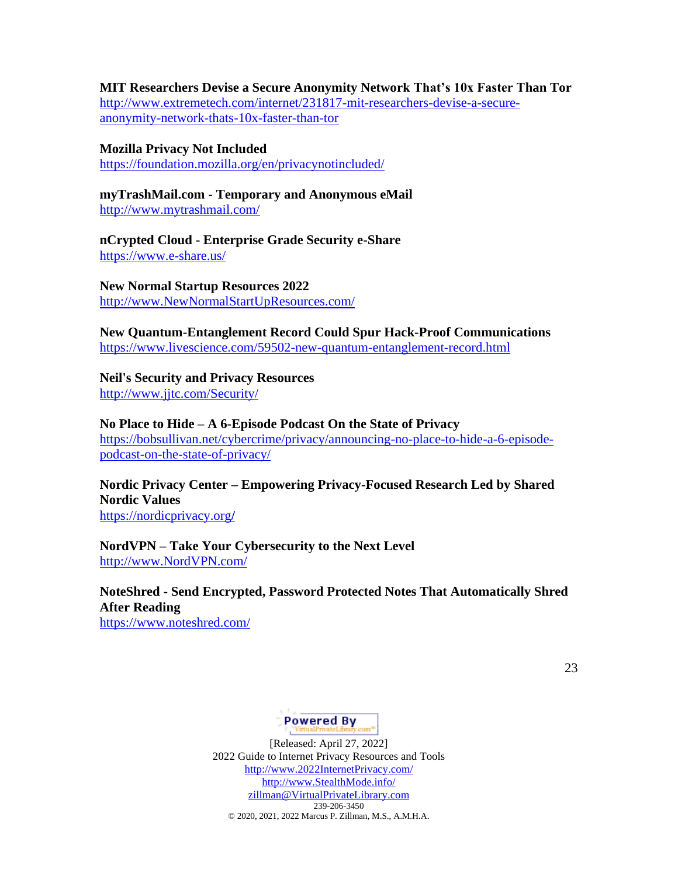# **MIT Researchers Devise a Secure Anonymity Network That's 10x Faster Than Tor**

[http://www.extremetech.com/internet/231817-mit-researchers-devise-a-secure](http://www.extremetech.com/internet/231817-mit-researchers-devise-a-secure-anonymity-network-thats-10x-faster-than-tor)[anonymity-network-thats-10x-faster-than-tor](http://www.extremetech.com/internet/231817-mit-researchers-devise-a-secure-anonymity-network-thats-10x-faster-than-tor)

**Mozilla Privacy Not Included** <https://foundation.mozilla.org/en/privacynotincluded/>

**myTrashMail.com - Temporary and Anonymous eMail** <http://www.mytrashmail.com/>

**nCrypted Cloud - Enterprise Grade Security e-Share** <https://www.e-share.us/>

**New Normal Startup Resources 2022** [http://www.NewNormalStartUpResources.com/](http://www.newnormalstartupresources.com/)

**New Quantum-Entanglement Record Could Spur Hack-Proof Communications** <https://www.livescience.com/59502-new-quantum-entanglement-record.html>

**Neil's Security and Privacy Resources** <http://www.jjtc.com/Security/>

**No Place to Hide – A 6-Episode Podcast On the State of Privacy** [https://bobsullivan.net/cybercrime/privacy/announcing-no-place-to-hide-a-6-episode](https://bobsullivan.net/cybercrime/privacy/announcing-no-place-to-hide-a-6-episode-podcast-on-the-state-of-privacy/)[podcast-on-the-state-of-privacy/](https://bobsullivan.net/cybercrime/privacy/announcing-no-place-to-hide-a-6-episode-podcast-on-the-state-of-privacy/)

**Nordic Privacy Center – Empowering Privacy-Focused Research Led by Shared Nordic Values** [https://nordicprivacy.org](https://nordicprivacy.org/)**/**

**NordVPN – Take Your Cybersecurity to the Next Level** [http://www.NordVPN.com/](http://www.nordvpn.com/)

# **NoteShred - Send Encrypted, Password Protected Notes That Automatically Shred After Reading**

<https://www.noteshred.com/>

23

# Powered By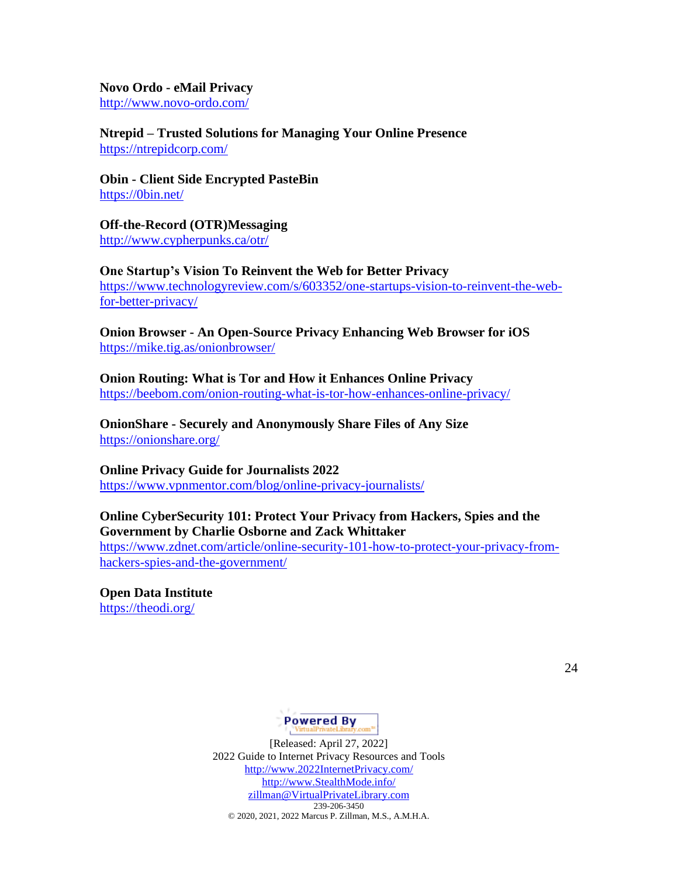# **Novo Ordo - eMail Privacy**

<http://www.novo-ordo.com/>

**Ntrepid – Trusted Solutions for Managing Your Online Presence** <https://ntrepidcorp.com/>

**Obin - Client Side Encrypted PasteBin** <https://0bin.net/>

**Off-the-Record (OTR)Messaging** <http://www.cypherpunks.ca/otr/>

### **One Startup's Vision To Reinvent the Web for Better Privacy**

[https://www.technologyreview.com/s/603352/one-startups-vision-to-reinvent-the-web](https://www.technologyreview.com/s/603352/one-startups-vision-to-reinvent-the-web-for-better-privacy/)[for-better-privacy/](https://www.technologyreview.com/s/603352/one-startups-vision-to-reinvent-the-web-for-better-privacy/)

**Onion Browser - An Open-Source Privacy Enhancing Web Browser for iOS** <https://mike.tig.as/onionbrowser/>

### **Onion Routing: What is Tor and How it Enhances Online Privacy** <https://beebom.com/onion-routing-what-is-tor-how-enhances-online-privacy/>

**OnionShare - Securely and Anonymously Share Files of Any Size** <https://onionshare.org/>

# **Online Privacy Guide for Journalists 2022**

<https://www.vpnmentor.com/blog/online-privacy-journalists/>

# **Online CyberSecurity 101: Protect Your Privacy from Hackers, Spies and the Government by Charlie Osborne and Zack Whittaker**

[https://www.zdnet.com/article/online-security-101-how-to-protect-your-privacy-from](https://www.zdnet.com/article/online-security-101-how-to-protect-your-privacy-from-hackers-spies-and-the-government/)[hackers-spies-and-the-government/](https://www.zdnet.com/article/online-security-101-how-to-protect-your-privacy-from-hackers-spies-and-the-government/)

**Open Data Institute**  <https://theodi.org/>

24

# Powered By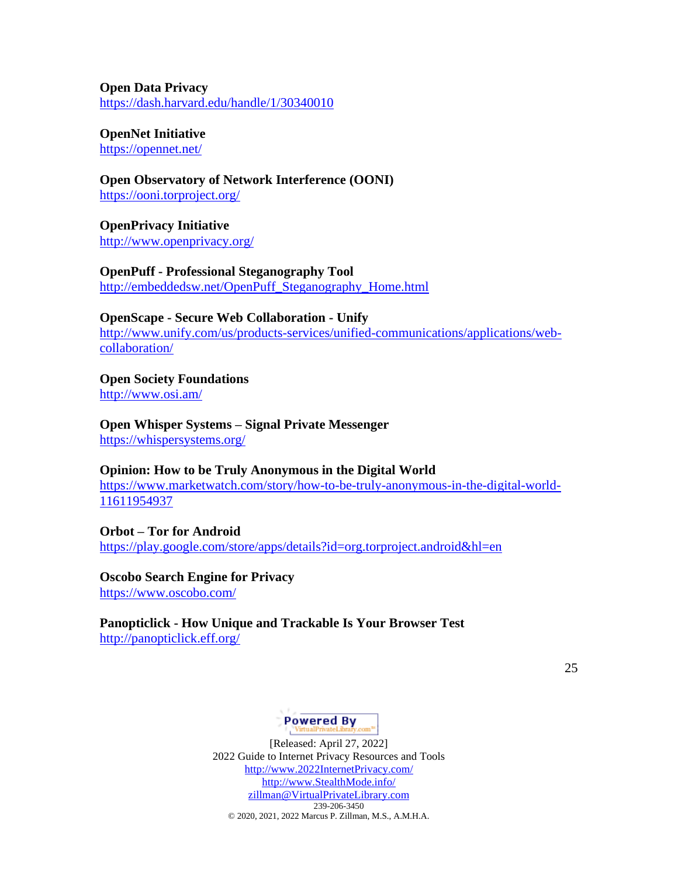**Open Data Privacy**  <https://dash.harvard.edu/handle/1/30340010>

**OpenNet Initiative** <https://opennet.net/>

**Open Observatory of Network Interference (OONI)** <https://ooni.torproject.org/>

**OpenPrivacy Initiative** <http://www.openprivacy.org/>

**OpenPuff - Professional Steganography Tool**  [http://embeddedsw.net/OpenPuff\\_Steganography\\_Home.html](http://embeddedsw.net/OpenPuff_Steganography_Home.html)

**OpenScape - Secure Web Collaboration - Unify** [http://www.unify.com/us/products-services/unified-communications/applications/web](http://www.unify.com/us/products-services/unified-communications/applications/web-collaboration/)[collaboration/](http://www.unify.com/us/products-services/unified-communications/applications/web-collaboration/)

**Open Society Foundations** <http://www.osi.am/>

**Open Whisper Systems – Signal Private Messenger** <https://whispersystems.org/>

**Opinion: How to be Truly Anonymous in the Digital World**

[https://www.marketwatch.com/story/how-to-be-truly-anonymous-in-the-digital-world-](https://www.marketwatch.com/story/how-to-be-truly-anonymous-in-the-digital-world-11611954937)[11611954937](https://www.marketwatch.com/story/how-to-be-truly-anonymous-in-the-digital-world-11611954937)

**Orbot – Tor for Android** <https://play.google.com/store/apps/details?id=org.torproject.android&hl=en>

**Oscobo Search Engine for Privacy** <https://www.oscobo.com/>

**Panopticlick - How Unique and Trackable Is Your Browser Test** <http://panopticlick.eff.org/>

25

# Powered By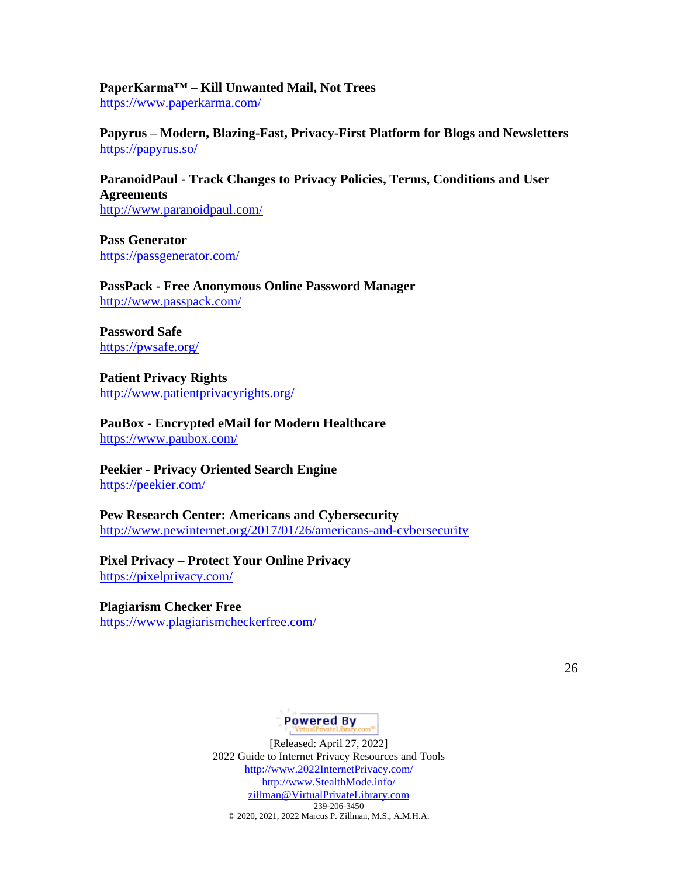**PaperKarma™ – Kill Unwanted Mail, Not Trees** <https://www.paperkarma.com/>

**Papyrus – Modern, Blazing-Fast, Privacy-First Platform for Blogs and Newsletters** <https://papyrus.so/>

**ParanoidPaul - Track Changes to Privacy Policies, Terms, Conditions and User Agreements** <http://www.paranoidpaul.com/>

**Pass Generator** <https://passgenerator.com/>

**PassPack - Free Anonymous Online Password Manager** <http://www.passpack.com/>

**Password Safe** <https://pwsafe.org/>

**Patient Privacy Rights**  <http://www.patientprivacyrights.org/>

**PauBox - Encrypted eMail for Modern Healthcare** <https://www.paubox.com/>

**Peekier - Privacy Oriented Search Engine** <https://peekier.com/>

**Pew Research Center: Americans and Cybersecurity** <http://www.pewinternet.org/2017/01/26/americans-and-cybersecurity>

**Pixel Privacy – Protect Your Online Privacy** <https://pixelprivacy.com/>

**Plagiarism Checker Free** <https://www.plagiarismcheckerfree.com/>

26

# **Powered By**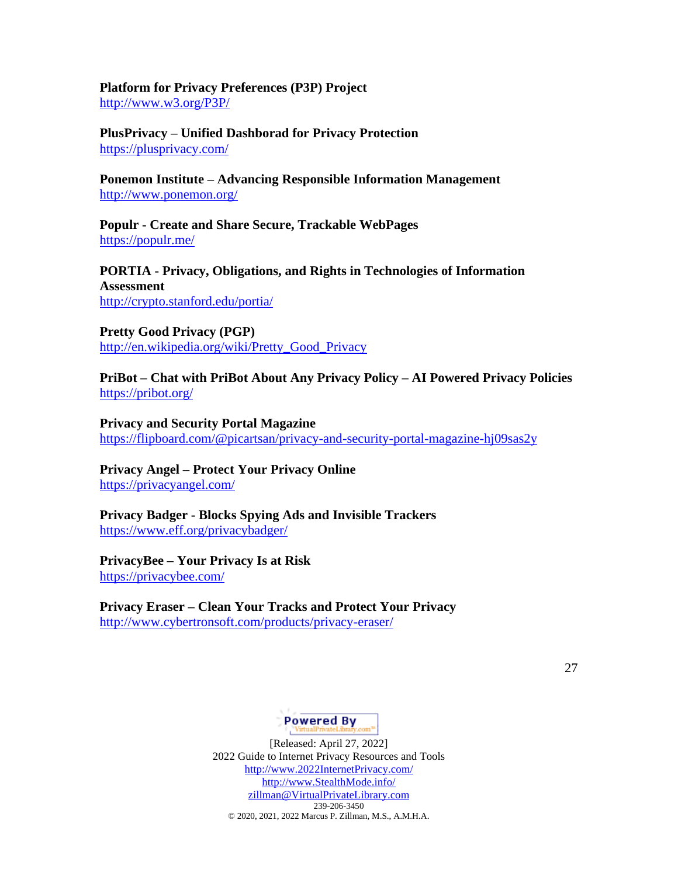**Platform for Privacy Preferences (P3P) Project** <http://www.w3.org/P3P/>

**PlusPrivacy – Unified Dashborad for Privacy Protection** <https://plusprivacy.com/>

**Ponemon Institute – Advancing Responsible Information Management** <http://www.ponemon.org/>

**Populr - Create and Share Secure, Trackable WebPages** <https://populr.me/>

**PORTIA - Privacy, Obligations, and Rights in Technologies of Information Assessment** <http://crypto.stanford.edu/portia/>

**Pretty Good Privacy (PGP)** [http://en.wikipedia.org/wiki/Pretty\\_Good\\_Privacy](http://en.wikipedia.org/wiki/Pretty_Good_Privacy)

**PriBot – Chat with PriBot About Any Privacy Policy – AI Powered Privacy Policies** <https://pribot.org/>

**Privacy and Security Portal Magazine** <https://flipboard.com/@picartsan/privacy-and-security-portal-magazine-hj09sas2y>

**Privacy Angel – Protect Your Privacy Online** <https://privacyangel.com/>

**Privacy Badger - Blocks Spying Ads and Invisible Trackers** <https://www.eff.org/privacybadger/>

**PrivacyBee – Your Privacy Is at Risk** <https://privacybee.com/>

**Privacy Eraser – Clean Your Tracks and Protect Your Privacy** <http://www.cybertronsoft.com/products/privacy-eraser/>

27

# **Powered By**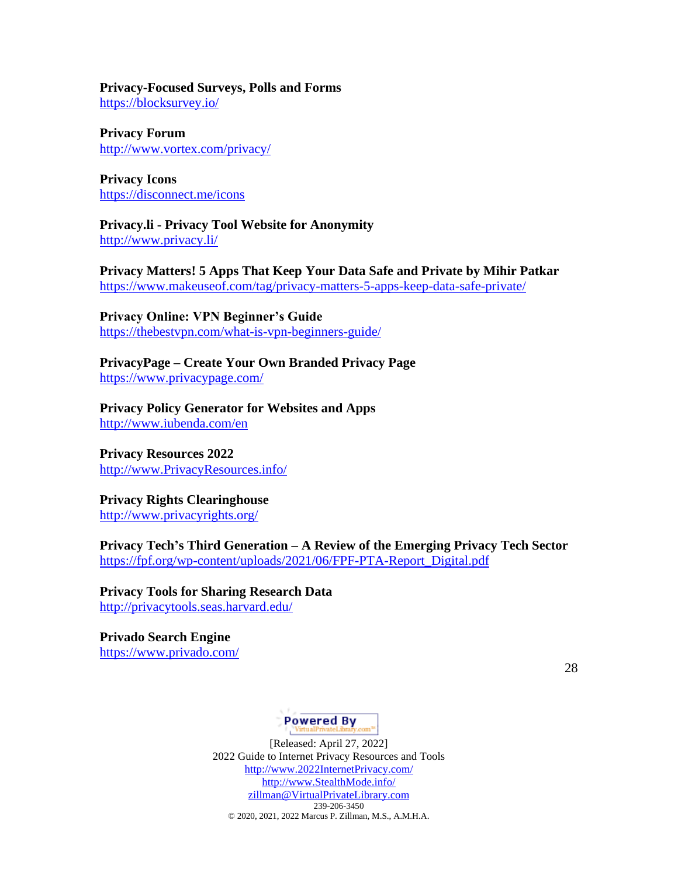# **Privacy-Focused Surveys, Polls and Forms**

<https://blocksurvey.io/>

**Privacy Forum** <http://www.vortex.com/privacy/>

**Privacy Icons** <https://disconnect.me/icons>

**Privacy.li - Privacy Tool Website for Anonymity** <http://www.privacy.li/>

**Privacy Matters! 5 Apps That Keep Your Data Safe and Private by Mihir Patkar** <https://www.makeuseof.com/tag/privacy-matters-5-apps-keep-data-safe-private/>

**Privacy Online: VPN Beginner's Guide** <https://thebestvpn.com/what-is-vpn-beginners-guide/>

**PrivacyPage – Create Your Own Branded Privacy Page** <https://www.privacypage.com/>

**Privacy Policy Generator for Websites and Apps** <http://www.iubenda.com/en>

**Privacy Resources 2022** [http://www.PrivacyResources.info/](http://www.privacyresources.info/)

**Privacy Rights Clearinghouse**

<http://www.privacyrights.org/>

**Privacy Tech's Third Generation – A Review of the Emerging Privacy Tech Sector** [https://fpf.org/wp-content/uploads/2021/06/FPF-PTA-Report\\_Digital.pdf](https://fpf.org/wp-content/uploads/2021/06/FPF-PTA-Report_Digital.pdf)

**Privacy Tools for Sharing Research Data** <http://privacytools.seas.harvard.edu/>

**Privado Search Engine** <https://www.privado.com/>

28

# **Powered By**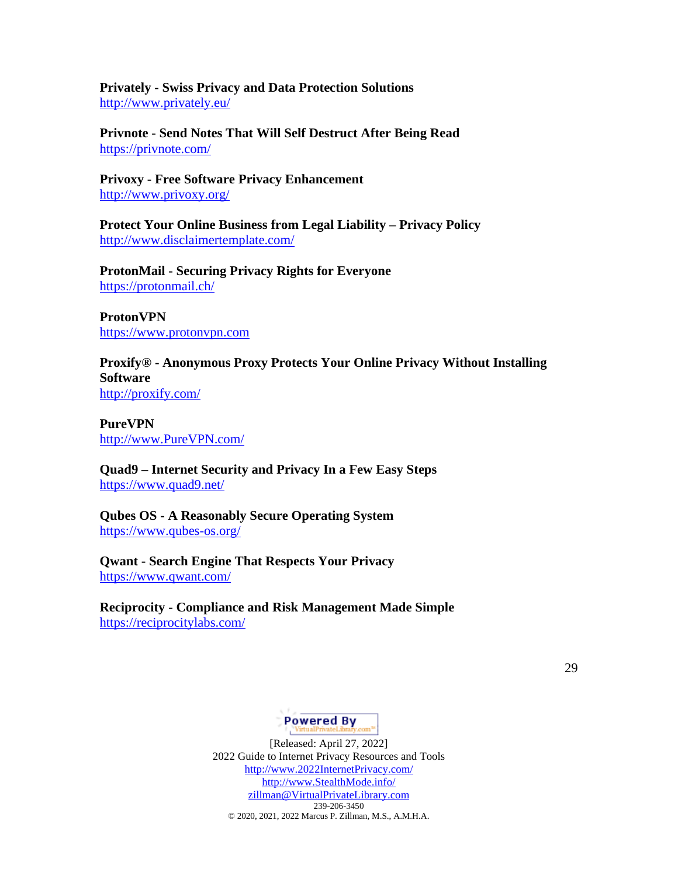**Privately - Swiss Privacy and Data Protection Solutions** <http://www.privately.eu/>

**Privnote - Send Notes That Will Self Destruct After Being Read** <https://privnote.com/>

**Privoxy - Free Software Privacy Enhancement** <http://www.privoxy.org/>

**Protect Your Online Business from Legal Liability – Privacy Policy** <http://www.disclaimertemplate.com/>

**ProtonMail - Securing Privacy Rights for Everyone** <https://protonmail.ch/>

**ProtonVPN** [https://www.protonvpn.com](https://www.protonvpn.com/)

**Proxify® - Anonymous Proxy Protects Your Online Privacy Without Installing Software** <http://proxify.com/>

**PureVPN** [http://www.PureVPN.com/](http://www.purevpn.com/)

**Quad9 – Internet Security and Privacy In a Few Easy Steps** <https://www.quad9.net/>

**Qubes OS - A Reasonably Secure Operating System** <https://www.qubes-os.org/>

**Qwant - Search Engine That Respects Your Privacy** <https://www.qwant.com/>

**Reciprocity - Compliance and Risk Management Made Simple** <https://reciprocitylabs.com/>

29

# **Powered By**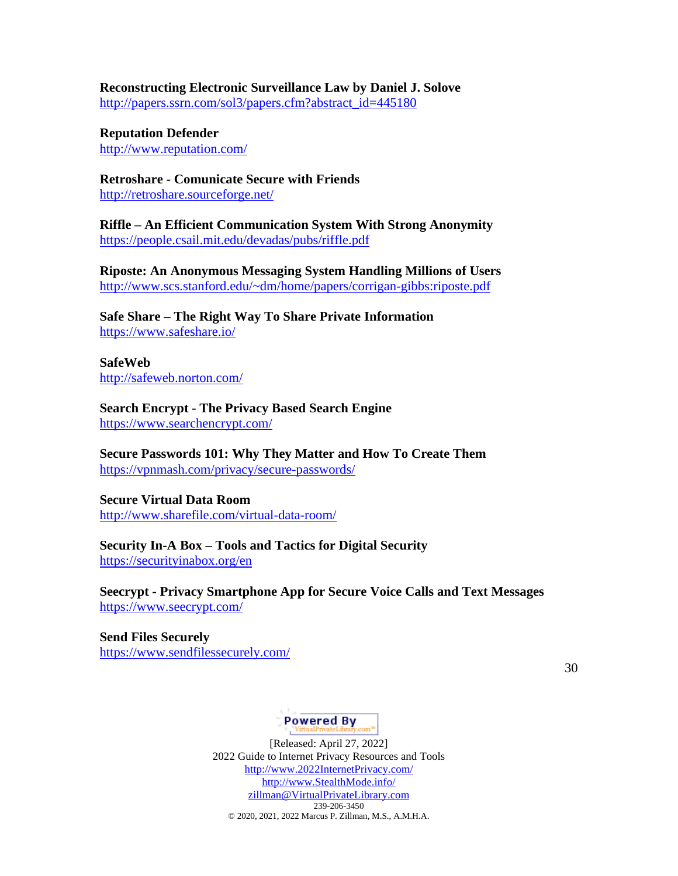**Reconstructing Electronic Surveillance Law by Daniel J. Solove** [http://papers.ssrn.com/sol3/papers.cfm?abstract\\_id=445180](http://papers.ssrn.com/sol3/papers.cfm?abstract_id=445180)

**Reputation Defender** <http://www.reputation.com/>

**Retroshare - Comunicate Secure with Friends** <http://retroshare.sourceforge.net/>

**Riffle – An Efficient Communication System With Strong Anonymity** <https://people.csail.mit.edu/devadas/pubs/riffle.pdf>

**Riposte: An Anonymous Messaging System Handling Millions of Users** <http://www.scs.stanford.edu/~dm/home/papers/corrigan-gibbs:riposte.pdf>

**Safe Share – The Right Way To Share Private Information** <https://www.safeshare.io/>

**SafeWeb**  <http://safeweb.norton.com/>

**Search Encrypt - The Privacy Based Search Engine** <https://www.searchencrypt.com/>

**Secure Passwords 101: Why They Matter and How To Create Them** <https://vpnmash.com/privacy/secure-passwords/>

**Secure Virtual Data Room** <http://www.sharefile.com/virtual-data-room/>

#### **Security In-A Box – Tools and Tactics for Digital Security** <https://securityinabox.org/en>

**Seecrypt - Privacy Smartphone App for Secure Voice Calls and Text Messages** <https://www.seecrypt.com/>

**Send Files Securely** <https://www.sendfilessecurely.com/>

30

# **Powered By**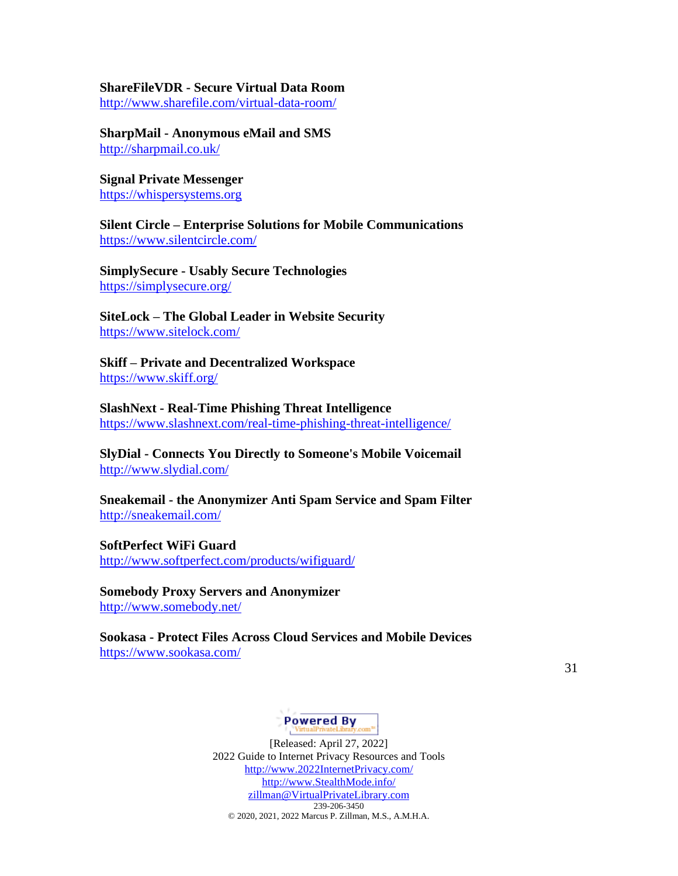## **ShareFileVDR - Secure Virtual Data Room**

<http://www.sharefile.com/virtual-data-room/>

**SharpMail - Anonymous eMail and SMS** <http://sharpmail.co.uk/>

### **Signal Private Messenger** [https://whispersystems.org](https://whispersystems.org/)

**Silent Circle – Enterprise Solutions for Mobile Communications** <https://www.silentcircle.com/>

**SimplySecure - Usably Secure Technologies** <https://simplysecure.org/>

### **SiteLock – The Global Leader in Website Security** <https://www.sitelock.com/>

**Skiff – Private and Decentralized Workspace** <https://www.skiff.org/>

**SlashNext - Real-Time Phishing Threat Intelligence** <https://www.slashnext.com/real-time-phishing-threat-intelligence/>

**SlyDial - Connects You Directly to Someone's Mobile Voicemail** <http://www.slydial.com/>

**Sneakemail - the Anonymizer Anti Spam Service and Spam Filter** <http://sneakemail.com/>

**SoftPerfect WiFi Guard**  <http://www.softperfect.com/products/wifiguard/>

### **Somebody Proxy Servers and Anonymizer**

<http://www.somebody.net/>

**Sookasa - Protect Files Across Cloud Services and Mobile Devices** <https://www.sookasa.com/>

31

# Powered By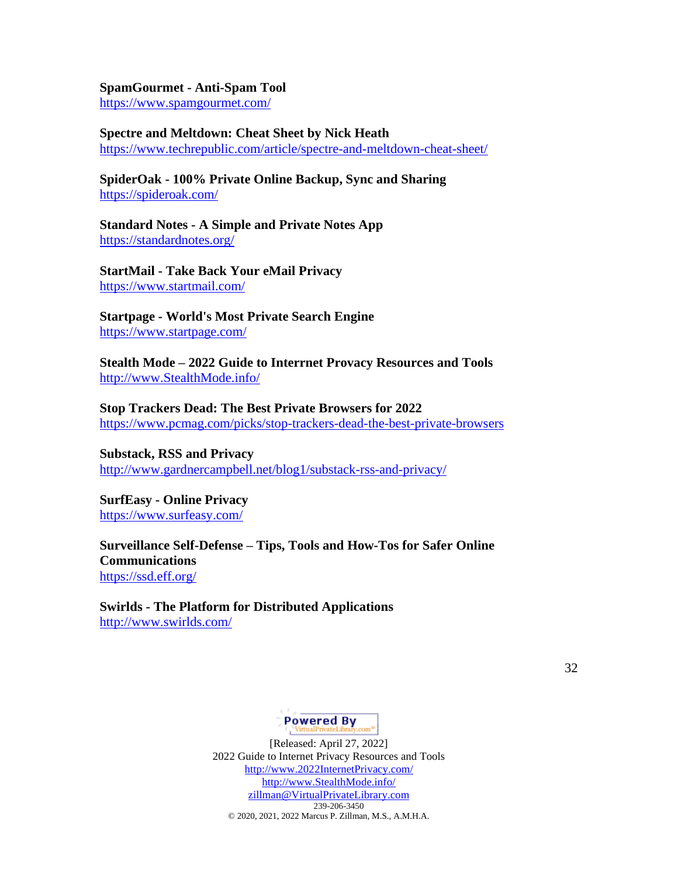#### **SpamGourmet - Anti-Spam Tool**

<https://www.spamgourmet.com/>

#### **Spectre and Meltdown: Cheat Sheet by Nick Heath**

<https://www.techrepublic.com/article/spectre-and-meltdown-cheat-sheet/>

### **SpiderOak - 100% Private Online Backup, Sync and Sharing** <https://spideroak.com/>

**Standard Notes - A Simple and Private Notes App** <https://standardnotes.org/>

**StartMail - Take Back Your eMail Privacy** <https://www.startmail.com/>

**Startpage - World's Most Private Search Engine** <https://www.startpage.com/>

**Stealth Mode – 2022 Guide to Interrnet Provacy Resources and Tools** [http://www.StealthMode.info/](http://www.stealthmode.info/)

### **Stop Trackers Dead: The Best Private Browsers for 2022**

<https://www.pcmag.com/picks/stop-trackers-dead-the-best-private-browsers>

**Substack, RSS and Privacy** <http://www.gardnercampbell.net/blog1/substack-rss-and-privacy/>

**SurfEasy - Online Privacy** <https://www.surfeasy.com/>

**Surveillance Self-Defense – Tips, Tools and How-Tos for Safer Online Communications** <https://ssd.eff.org/>

**Swirlds - The Platform for Distributed Applications** <http://www.swirlds.com/>

32

### **Powered By**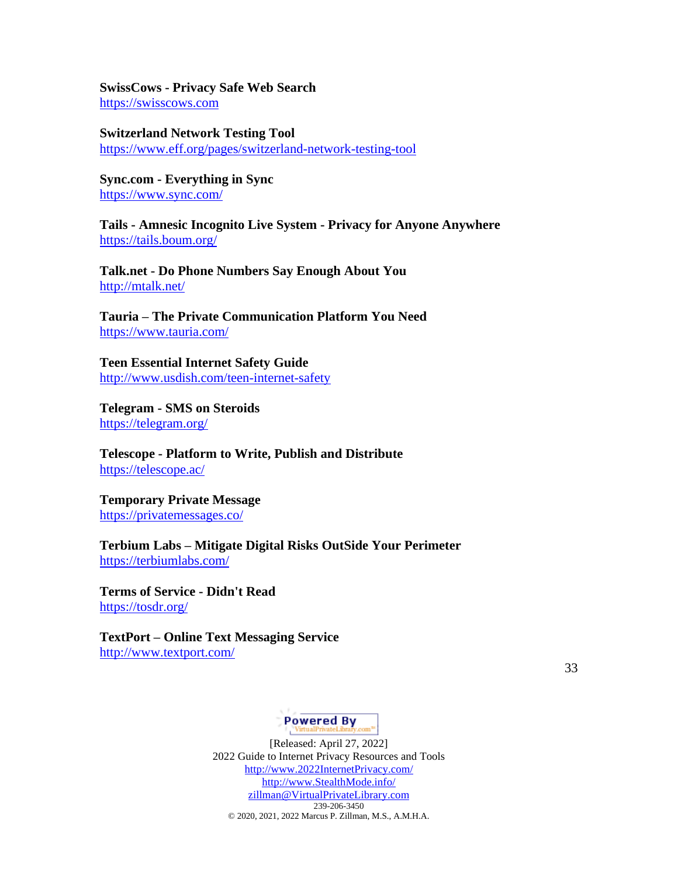# **SwissCows - Privacy Safe Web Search**

[https://swisscows.com](https://swisscows.com/)

**Switzerland Network Testing Tool** <https://www.eff.org/pages/switzerland-network-testing-tool>

**Sync.com - Everything in Sync** <https://www.sync.com/>

**Tails - Amnesic Incognito Live System - Privacy for Anyone Anywhere** <https://tails.boum.org/>

**Talk.net - Do Phone Numbers Say Enough About You** <http://mtalk.net/>

**Tauria – The Private Communication Platform You Need** <https://www.tauria.com/>

**Teen Essential Internet Safety Guide** <http://www.usdish.com/teen-internet-safety>

**Telegram - SMS on Steroids** <https://telegram.org/>

**Telescope - Platform to Write, Publish and Distribute** <https://telescope.ac/>

**Temporary Private Message** <https://privatemessages.co/>

**Terbium Labs – Mitigate Digital Risks OutSide Your Perimeter** <https://terbiumlabs.com/>

**Terms of Service - Didn't Read** <https://tosdr.org/>

**TextPort – Online Text Messaging Service** <http://www.textport.com/>

33

Powered By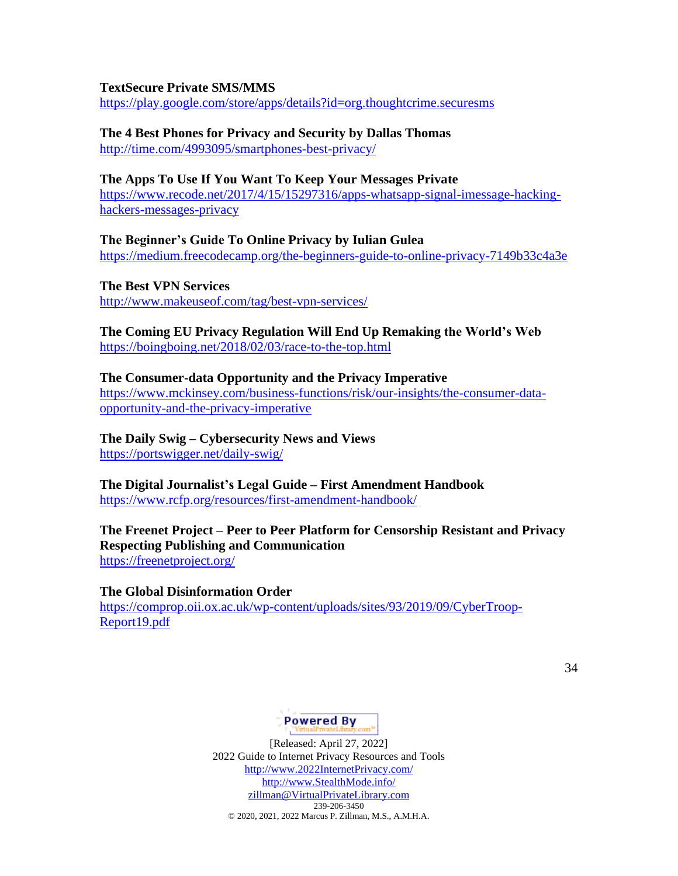#### **TextSecure Private SMS/MMS**

<https://play.google.com/store/apps/details?id=org.thoughtcrime.securesms>

# **The 4 Best Phones for Privacy and Security by Dallas Thomas**

<http://time.com/4993095/smartphones-best-privacy/>

### **The Apps To Use If You Want To Keep Your Messages Private**

[https://www.recode.net/2017/4/15/15297316/apps-whatsapp-signal-imessage-hacking](https://www.recode.net/2017/4/15/15297316/apps-whatsapp-signal-imessage-hacking-hackers-messages-privacy)[hackers-messages-privacy](https://www.recode.net/2017/4/15/15297316/apps-whatsapp-signal-imessage-hacking-hackers-messages-privacy)

**The Beginner's Guide To Online Privacy by Iulian Gulea** <https://medium.freecodecamp.org/the-beginners-guide-to-online-privacy-7149b33c4a3e>

**The Best VPN Services**

<http://www.makeuseof.com/tag/best-vpn-services/>

### **The Coming EU Privacy Regulation Will End Up Remaking the World's Web** <https://boingboing.net/2018/02/03/race-to-the-top.html>

### **The Consumer-data Opportunity and the Privacy Imperative**

[https://www.mckinsey.com/business-functions/risk/our-insights/the-consumer-data](https://www.mckinsey.com/business-functions/risk/our-insights/the-consumer-data-opportunity-and-the-privacy-imperative)[opportunity-and-the-privacy-imperative](https://www.mckinsey.com/business-functions/risk/our-insights/the-consumer-data-opportunity-and-the-privacy-imperative)

**The Daily Swig – Cybersecurity News and Views** <https://portswigger.net/daily-swig/>

**The Digital Journalist's Legal Guide – First Amendment Handbook** <https://www.rcfp.org/resources/first-amendment-handbook/>

### **The Freenet Project – Peer to Peer Platform for Censorship Resistant and Privacy Respecting Publishing and Communication** <https://freenetproject.org/>

# **The Global Disinformation Order**

[https://comprop.oii.ox.ac.uk/wp-content/uploads/sites/93/2019/09/CyberTroop-](https://comprop.oii.ox.ac.uk/wp-content/uploads/sites/93/2019/09/CyberTroop-Report19.pdf)[Report19.pdf](https://comprop.oii.ox.ac.uk/wp-content/uploads/sites/93/2019/09/CyberTroop-Report19.pdf)

34

# Powered By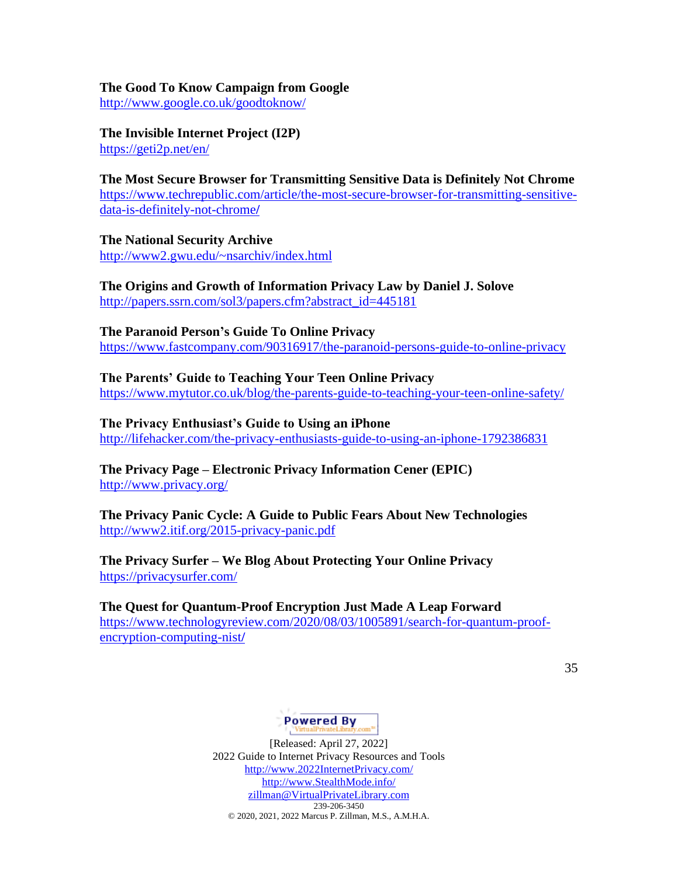### **The Good To Know Campaign from Google**

<http://www.google.co.uk/goodtoknow/>

**The Invisible Internet Project (I2P)** <https://geti2p.net/en/>

**The Most Secure Browser for Transmitting Sensitive Data is Definitely Not Chrome** [https://www.techrepublic.com/article/the-most-secure-browser-for-transmitting-sensitive](https://www.techrepublic.com/article/the-most-secure-browser-for-transmitting-sensitive-data-is-definitely-not-chrome/)[data-is-definitely-not-chrome](https://www.techrepublic.com/article/the-most-secure-browser-for-transmitting-sensitive-data-is-definitely-not-chrome/)**/**

**The National Security Archive** <http://www2.gwu.edu/~nsarchiv/index.html>

**The Origins and Growth of Information Privacy Law by Daniel J. Solove** [http://papers.ssrn.com/sol3/papers.cfm?abstract\\_id=445181](http://papers.ssrn.com/sol3/papers.cfm?abstract_id=445181)

**The Paranoid Person's Guide To Online Privacy** <https://www.fastcompany.com/90316917/the-paranoid-persons-guide-to-online-privacy>

**The Parents' Guide to Teaching Your Teen Online Privacy** <https://www.mytutor.co.uk/blog/the-parents-guide-to-teaching-your-teen-online-safety/>

**The Privacy Enthusiast's Guide to Using an iPhone** 

<http://lifehacker.com/the-privacy-enthusiasts-guide-to-using-an-iphone-1792386831>

**The Privacy Page – Electronic Privacy Information Cener (EPIC)** <http://www.privacy.org/>

**The Privacy Panic Cycle: A Guide to Public Fears About New Technologies** <http://www2.itif.org/2015-privacy-panic.pdf>

**The Privacy Surfer – We Blog About Protecting Your Online Privacy** <https://privacysurfer.com/>

**The Quest for Quantum-Proof Encryption Just Made A Leap Forward** [https://www.technologyreview.com/2020/08/03/1005891/search-for-quantum-proof](https://www.technologyreview.com/2020/08/03/1005891/search-for-quantum-proof-encryption-computing-nist/)[encryption-computing-nist](https://www.technologyreview.com/2020/08/03/1005891/search-for-quantum-proof-encryption-computing-nist/)**/**

35

# Powered By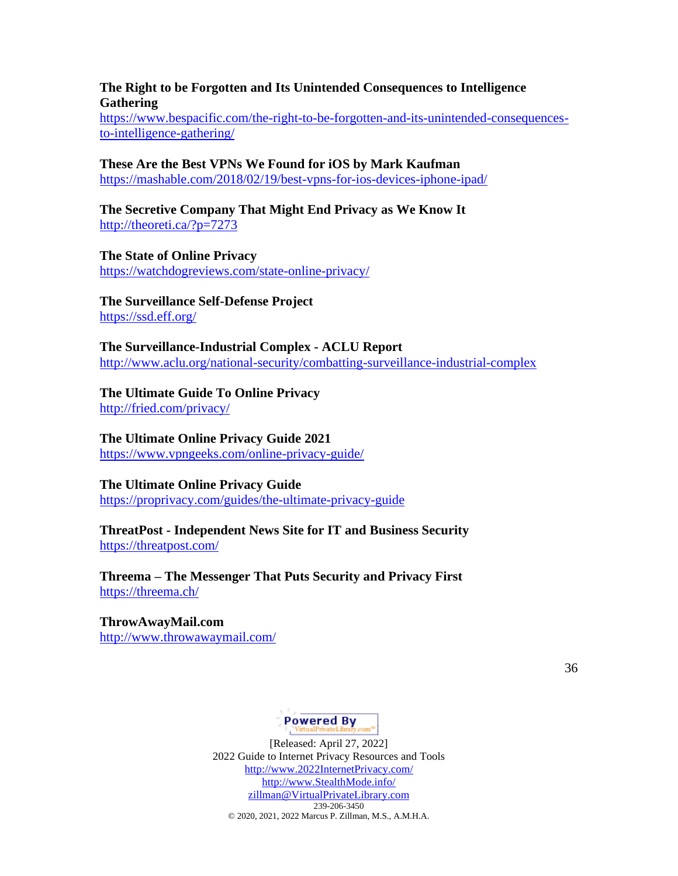### **The Right to be Forgotten and Its Unintended Consequences to Intelligence Gathering**

[https://www.bespacific.com/the-right-to-be-forgotten-and-its-unintended-consequences](https://www.bespacific.com/the-right-to-be-forgotten-and-its-unintended-consequences-to-intelligence-gathering/)[to-intelligence-gathering/](https://www.bespacific.com/the-right-to-be-forgotten-and-its-unintended-consequences-to-intelligence-gathering/)

### **These Are the Best VPNs We Found for iOS by Mark Kaufman** <https://mashable.com/2018/02/19/best-vpns-for-ios-devices-iphone-ipad/>

**The Secretive Company That Might End Privacy as We Know It** <http://theoreti.ca/?p=7273>

**The State of Online Privacy** <https://watchdogreviews.com/state-online-privacy/>

**The Surveillance Self-Defense Project** <https://ssd.eff.org/>

**The Surveillance-Industrial Complex - ACLU Report** <http://www.aclu.org/national-security/combatting-surveillance-industrial-complex>

# **The Ultimate Guide To Online Privacy**

<http://fried.com/privacy/>

# **The Ultimate Online Privacy Guide 2021**

<https://www.vpngeeks.com/online-privacy-guide/>

### **The Ultimate Online Privacy Guide**

<https://proprivacy.com/guides/the-ultimate-privacy-guide>

### **ThreatPost - Independent News Site for IT and Business Security** <https://threatpost.com/>

**Threema – The Messenger That Puts Security and Privacy First** <https://threema.ch/>

### **ThrowAwayMail.com** <http://www.throwawaymail.com/>

36

# Powered By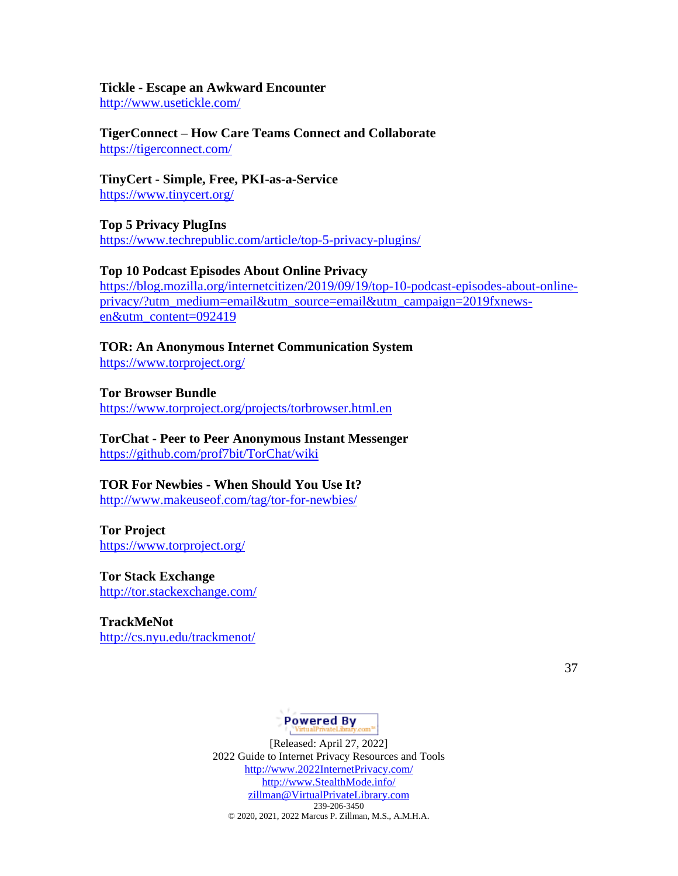#### **Tickle - Escape an Awkward Encounter**

<http://www.usetickle.com/>

**TigerConnect – How Care Teams Connect and Collaborate** <https://tigerconnect.com/>

**TinyCert - Simple, Free, PKI-as-a-Service** <https://www.tinycert.org/>

**Top 5 Privacy PlugIns** <https://www.techrepublic.com/article/top-5-privacy-plugins/>

#### **Top 10 Podcast Episodes About Online Privacy**

[https://blog.mozilla.org/internetcitizen/2019/09/19/top-10-podcast-episodes-about-online](https://blog.mozilla.org/internetcitizen/2019/09/19/top-10-podcast-episodes-about-online-privacy/?utm_medium=email&utm_source=email&utm_campaign=2019fxnews-en&utm_content=092419)[privacy/?utm\\_medium=email&utm\\_source=email&utm\\_campaign=2019fxnews](https://blog.mozilla.org/internetcitizen/2019/09/19/top-10-podcast-episodes-about-online-privacy/?utm_medium=email&utm_source=email&utm_campaign=2019fxnews-en&utm_content=092419)[en&utm\\_content=092419](https://blog.mozilla.org/internetcitizen/2019/09/19/top-10-podcast-episodes-about-online-privacy/?utm_medium=email&utm_source=email&utm_campaign=2019fxnews-en&utm_content=092419)

**TOR: An Anonymous Internet Communication System** <https://www.torproject.org/>

**Tor Browser Bundle** <https://www.torproject.org/projects/torbrowser.html.en>

# **TorChat - Peer to Peer Anonymous Instant Messenger**

<https://github.com/prof7bit/TorChat/wiki>

#### **TOR For Newbies - When Should You Use It?**

<http://www.makeuseof.com/tag/tor-for-newbies/>

**Tor Project** <https://www.torproject.org/>

**Tor Stack Exchange** <http://tor.stackexchange.com/>

**TrackMeNot** <http://cs.nyu.edu/trackmenot/>

37

# Powered By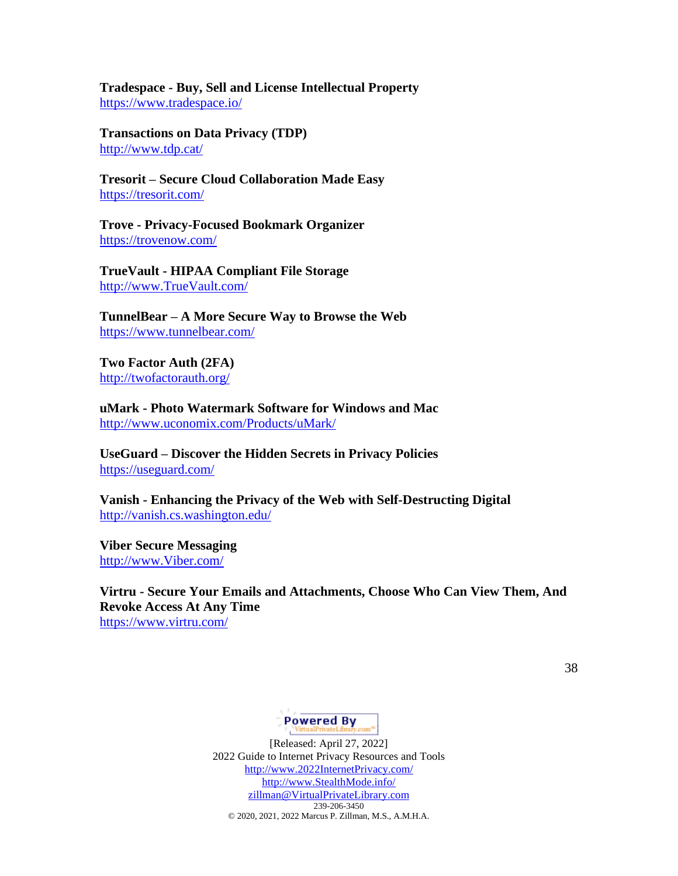**Tradespace - Buy, Sell and License Intellectual Property** <https://www.tradespace.io/>

**Transactions on Data Privacy (TDP)** <http://www.tdp.cat/>

**Tresorit – Secure Cloud Collaboration Made Easy** <https://tresorit.com/>

**Trove - Privacy-Focused Bookmark Organizer** <https://trovenow.com/>

**TrueVault - HIPAA Compliant File Storage** [http://www.TrueVault.com/](http://www.truevault.com/)

**TunnelBear – A More Secure Way to Browse the Web** <https://www.tunnelbear.com/>

**Two Factor Auth (2FA)** <http://twofactorauth.org/>

**uMark - Photo Watermark Software for Windows and Mac** <http://www.uconomix.com/Products/uMark/>

**UseGuard – Discover the Hidden Secrets in Privacy Policies** <https://useguard.com/>

**Vanish - Enhancing the Privacy of the Web with Self-Destructing Digital** <http://vanish.cs.washington.edu/>

**Viber Secure Messaging** [http://www.Viber.com/](http://www.viber.com/)

**Virtru - Secure Your Emails and Attachments, Choose Who Can View Them, And Revoke Access At Any Time** <https://www.virtru.com/>

38

# Powered By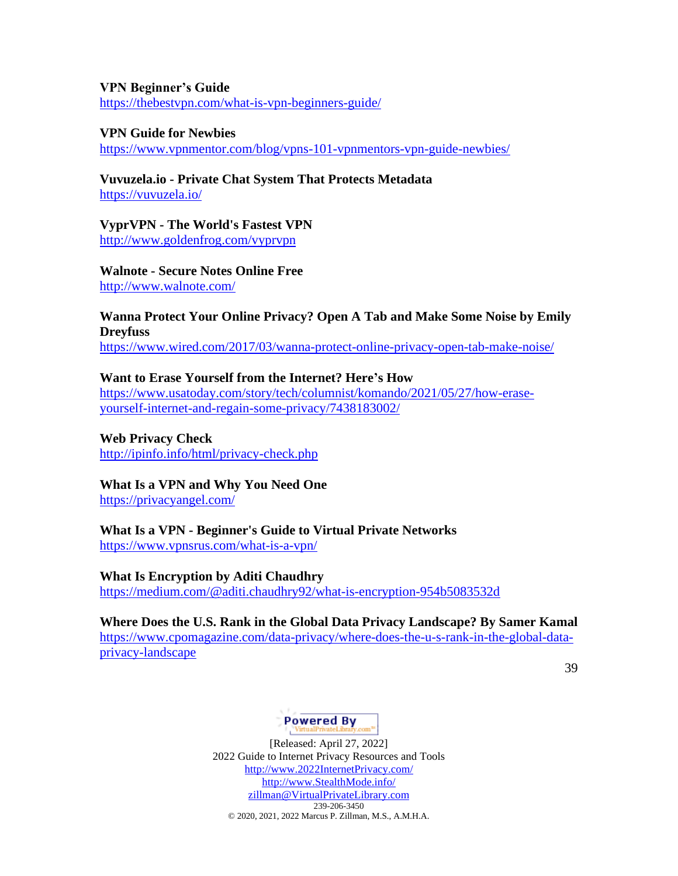#### **VPN Beginner's Guide**

<https://thebestvpn.com/what-is-vpn-beginners-guide/>

#### **VPN Guide for Newbies**

<https://www.vpnmentor.com/blog/vpns-101-vpnmentors-vpn-guide-newbies/>

# **Vuvuzela.io - Private Chat System That Protects Metadata**

<https://vuvuzela.io/>

### **VyprVPN - The World's Fastest VPN**

<http://www.goldenfrog.com/vyprvpn>

**Walnote - Secure Notes Online Free** <http://www.walnote.com/>

# **Wanna Protect Your Online Privacy? Open A Tab and Make Some Noise by Emily Dreyfuss**

<https://www.wired.com/2017/03/wanna-protect-online-privacy-open-tab-make-noise/>

### **Want to Erase Yourself from the Internet? Here's How**

[https://www.usatoday.com/story/tech/columnist/komando/2021/05/27/how-erase](https://www.usatoday.com/story/tech/columnist/komando/2021/05/27/how-erase-yourself-internet-and-regain-some-privacy/7438183002/)[yourself-internet-and-regain-some-privacy/7438183002/](https://www.usatoday.com/story/tech/columnist/komando/2021/05/27/how-erase-yourself-internet-and-regain-some-privacy/7438183002/)

### **Web Privacy Check** <http://ipinfo.info/html/privacy-check.php>

# **What Is a VPN and Why You Need One**

<https://privacyangel.com/>

#### **What Is a VPN - Beginner's Guide to Virtual Private Networks** <https://www.vpnsrus.com/what-is-a-vpn/>

**What Is Encryption by Aditi Chaudhry**

<https://medium.com/@aditi.chaudhry92/what-is-encryption-954b5083532d>

# **Where Does the U.S. Rank in the Global Data Privacy Landscape? By Samer Kamal** [https://www.cpomagazine.com/data-privacy/where-does-the-u-s-rank-in-the-global-data](https://www.cpomagazine.com/data-privacy/where-does-the-u-s-rank-in-the-global-data-privacy-landscape)[privacy-landscape](https://www.cpomagazine.com/data-privacy/where-does-the-u-s-rank-in-the-global-data-privacy-landscape)

39

# Powered By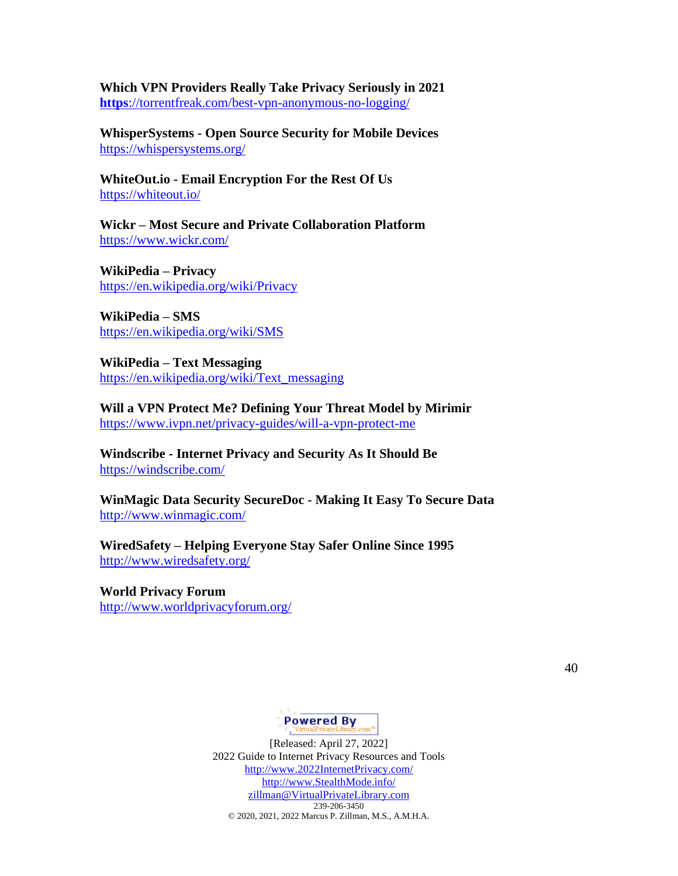**Which VPN Providers Really Take Privacy Seriously in 2021 https**[://torrentfreak.com/best-vpn-anonymous-no-logging/](https://torrentfreak.com/best-vpn-anonymous-no-logging/)

**WhisperSystems - Open Source Security for Mobile Devices** <https://whispersystems.org/>

**WhiteOut.io - Email Encryption For the Rest Of Us** <https://whiteout.io/>

**Wickr – Most Secure and Private Collaboration Platform** <https://www.wickr.com/>

**WikiPedia – Privacy** <https://en.wikipedia.org/wiki/Privacy>

**WikiPedia – SMS** <https://en.wikipedia.org/wiki/SMS>

**WikiPedia – Text Messaging** [https://en.wikipedia.org/wiki/Text\\_messaging](https://en.wikipedia.org/wiki/Text_messaging)

**Will a VPN Protect Me? Defining Your Threat Model by Mirimir** <https://www.ivpn.net/privacy-guides/will-a-vpn-protect-me>

**Windscribe - Internet Privacy and Security As It Should Be** <https://windscribe.com/>

**WinMagic Data Security SecureDoc - Making It Easy To Secure Data** <http://www.winmagic.com/>

**WiredSafety – Helping Everyone Stay Safer Online Since 1995** <http://www.wiredsafety.org/>

**World Privacy Forum** <http://www.worldprivacyforum.org/>

40

# **Powered By**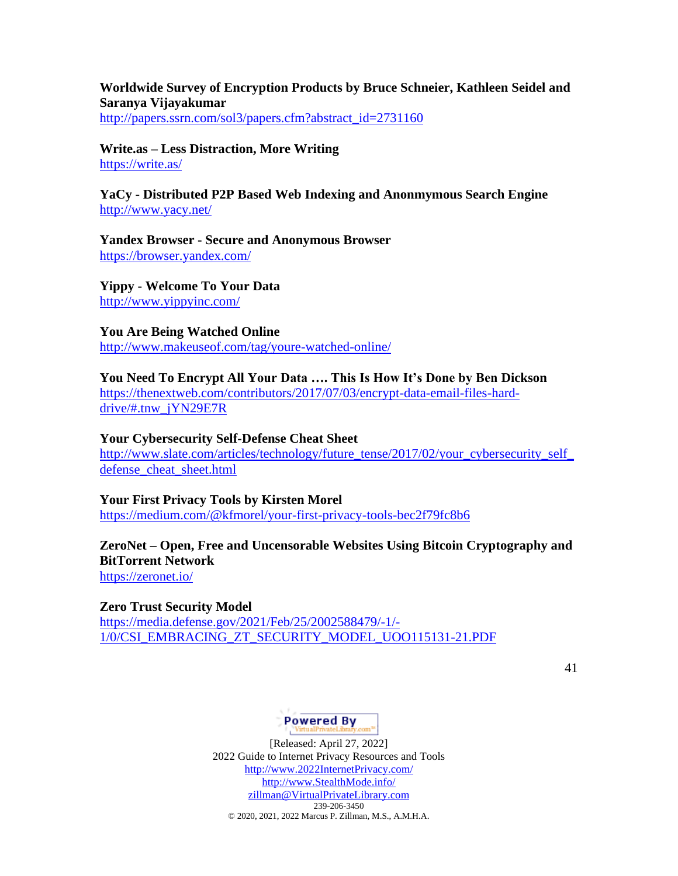### **Worldwide Survey of Encryption Products by Bruce Schneier, Kathleen Seidel and Saranya Vijayakumar**

[http://papers.ssrn.com/sol3/papers.cfm?abstract\\_id=2731160](http://papers.ssrn.com/sol3/papers.cfm?abstract_id=2731160)

### **Write.as – Less Distraction, More Writing** <https://write.as/>

### **YaCy - Distributed P2P Based Web Indexing and Anonmymous Search Engine** <http://www.yacy.net/>

**Yandex Browser - Secure and Anonymous Browser** <https://browser.yandex.com/>

**Yippy - Welcome To Your Data** <http://www.yippyinc.com/>

**You Are Being Watched Online** <http://www.makeuseof.com/tag/youre-watched-online/>

**You Need To Encrypt All Your Data …. This Is How It's Done by Ben Dickson** [https://thenextweb.com/contributors/2017/07/03/encrypt-data-email-files-hard](https://thenextweb.com/contributors/2017/07/03/encrypt-data-email-files-hard-drive/#.tnw_jYN29E7R)[drive/#.tnw\\_jYN29E7R](https://thenextweb.com/contributors/2017/07/03/encrypt-data-email-files-hard-drive/#.tnw_jYN29E7R)

#### **Your Cybersecurity Self-Defense Cheat Sheet**

[http://www.slate.com/articles/technology/future\\_tense/2017/02/your\\_cybersecurity\\_self\\_](http://www.slate.com/articles/technology/future_tense/2017/02/your_cybersecurity_self_defense_cheat_sheet.html) defense cheat sheet.html

#### **Your First Privacy Tools by Kirsten Morel**

<https://medium.com/@kfmorel/your-first-privacy-tools-bec2f79fc8b6>

# **ZeroNet – Open, Free and Uncensorable Websites Using Bitcoin Cryptography and BitTorrent Network**

<https://zeronet.io/>

#### **Zero Trust Security Model**

[https://media.defense.gov/2021/Feb/25/2002588479/-1/-](https://media.defense.gov/2021/Feb/25/2002588479/-1/-1/0/CSI_EMBRACING_ZT_SECURITY_MODEL_UOO115131-21.PDF) [1/0/CSI\\_EMBRACING\\_ZT\\_SECURITY\\_MODEL\\_UOO115131-21.PDF](https://media.defense.gov/2021/Feb/25/2002588479/-1/-1/0/CSI_EMBRACING_ZT_SECURITY_MODEL_UOO115131-21.PDF)

41

# Powered By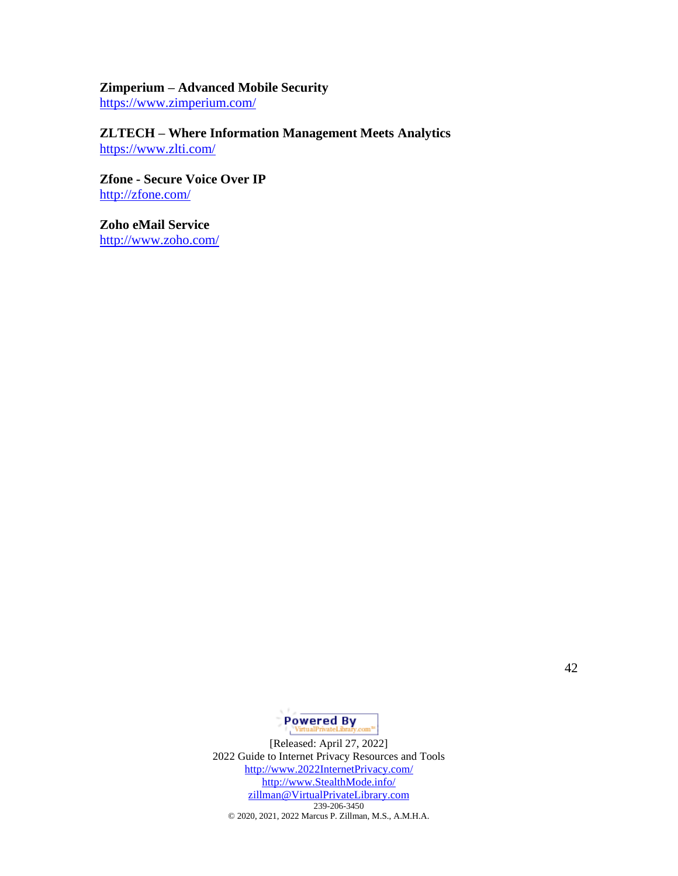# **Zimperium – Advanced Mobile Security**

<https://www.zimperium.com/>

# **ZLTECH – Where Information Management Meets Analytics** <https://www.zlti.com/>

**Zfone - Secure Voice Over IP** <http://zfone.com/>

**Zoho eMail Service** <http://www.zoho.com/>

42

**Powered By**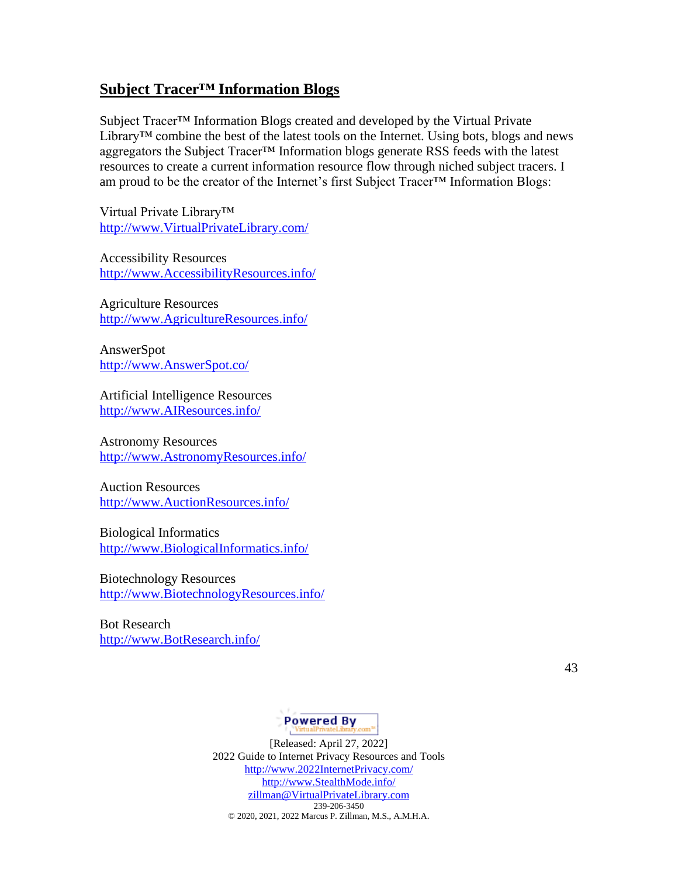# **Subject Tracer™ Information Blogs**

Subject Tracer™ Information Blogs created and developed by the Virtual Private Library™ combine the best of the latest tools on the Internet. Using bots, blogs and news aggregators the Subject Tracer™ Information blogs generate RSS feeds with the latest resources to create a current information resource flow through niched subject tracers. I am proud to be the creator of the Internet's first Subject Tracer™ Information Blogs:

Virtual Private Library™ [http://www.VirtualPrivateLibrary.com/](http://www.virtualprivatelibrary.com/)

Accessibility Resources [http://www.AccessibilityResources.info/](http://www.accessibilityresources.info/)

Agriculture Resources [http://www.AgricultureResources.info/](http://www.agricultureresources.info/)

AnswerSpot [http://www.AnswerSpot.co/](http://www.answerspot.co/)

Artificial Intelligence Resources [http://www.AIResources.info/](http://www.airesources.info/)

Astronomy Resources [http://www.AstronomyResources.info/](http://www.astronomyresources.info/)

Auction Resources [http://www.AuctionResources.info/](http://www.auctionresources.info/)

Biological Informatics [http://www.BiologicalInformatics.info/](http://www.biologicalinformatics.info/)

Biotechnology Resources [http://www.BiotechnologyResources.info/](http://www.biotechnologyresources.info/)

Bot Research [http://www.BotResearch.info/](http://www.botresearch.info/)

43

# **Powered By**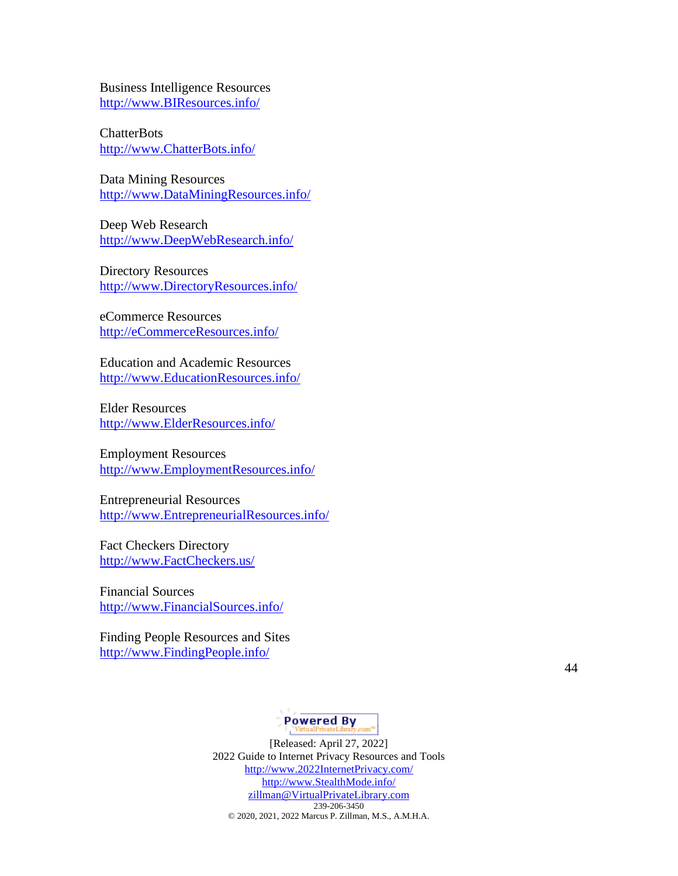Business Intelligence Resources [http://www.BIResources.info/](http://www.biresources.info/)

**ChatterBots** [http://www.ChatterBots.info/](http://www.chatterbots.info/)

Data Mining Resources [http://www.DataMiningResources.info/](http://www.dataminingresources.info/)

Deep Web Research [http://www.DeepWebResearch.info/](http://www.deepwebresearch.info/)

Directory Resources [http://www.DirectoryResources.info/](http://www.directoryresources.info/)

eCommerce Resources [http://eCommerceResources.info/](http://ecommerceresources.info/)

Education and Academic Resources [http://www.EducationResources.info/](http://www.educationresources.info/)

Elder Resources [http://www.ElderResources.info/](http://www.elderresources.info/)

Employment Resources [http://www.EmploymentResources.info/](http://www.employmentresources.info/)

Entrepreneurial Resources [http://www.EntrepreneurialResources.info/](http://www.entrepreneurialresources.info/)

Fact Checkers Directory [http://www.FactCheckers.us/](http://www.factcheckers.us/)

Financial Sources [http://www.FinancialSources.info/](http://www.financialsources.info/)

Finding People Resources and Sites [http://www.FindingPeople.info/](http://www.findingpeople.info/)

44

# **Powered By**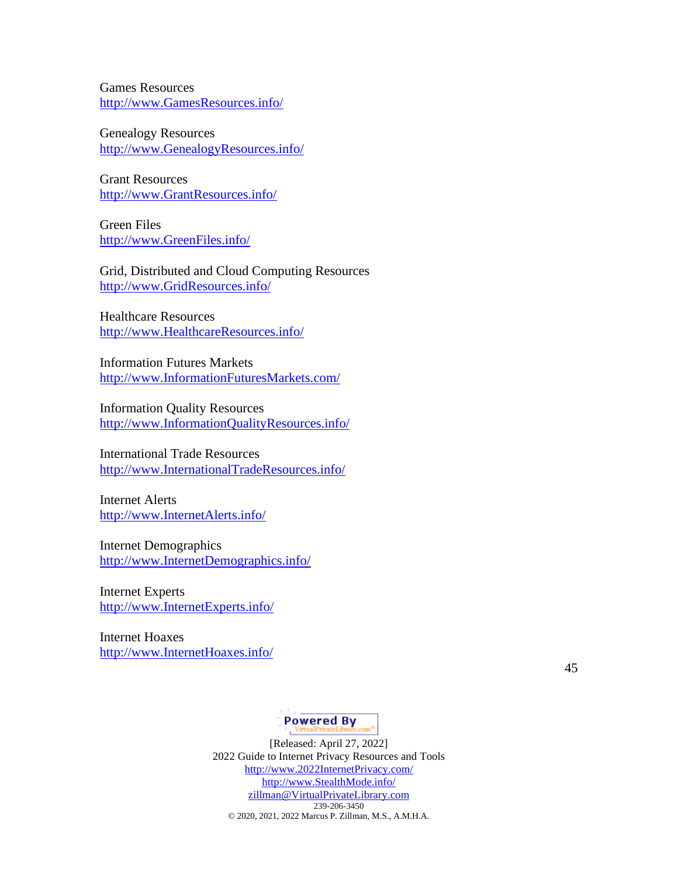Games Resources [http://www.GamesResources.info/](http://www.gamesresources.info/)

Genealogy Resources [http://www.GenealogyResources.info/](http://www.genealogyresources.info/)

Grant Resources [http://www.GrantResources.info/](http://www.grantresources.info/)

Green Files [http://www.GreenFiles.info/](http://www.greenfiles.info/)

Grid, Distributed and Cloud Computing Resources [http://www.GridResources.info/](http://www.gridresources.info/)

Healthcare Resources [http://www.HealthcareResources.info/](http://www.healthcareresources.info/)

Information Futures Markets [http://www.InformationFuturesMarkets.com/](http://www.informationfuturesmarkets.com/)

Information Quality Resources [http://www.InformationQualityResources.info/](http://www.informationqualityresources.info/)

International Trade Resources [http://www.InternationalTradeResources.info/](http://www.internationaltraderesources.info/)

Internet Alerts [http://www.InternetAlerts.info/](http://www.internetalerts.info/)

Internet Demographics [http://www.InternetDemographics.info/](http://www.internetdemographics.info/)

Internet Experts [http://www.InternetExperts.info/](http://www.internetexperts.info/)

Internet Hoaxes [http://www.InternetHoaxes.info/](http://www.internethoaxes.info/)

45

# **Powered By**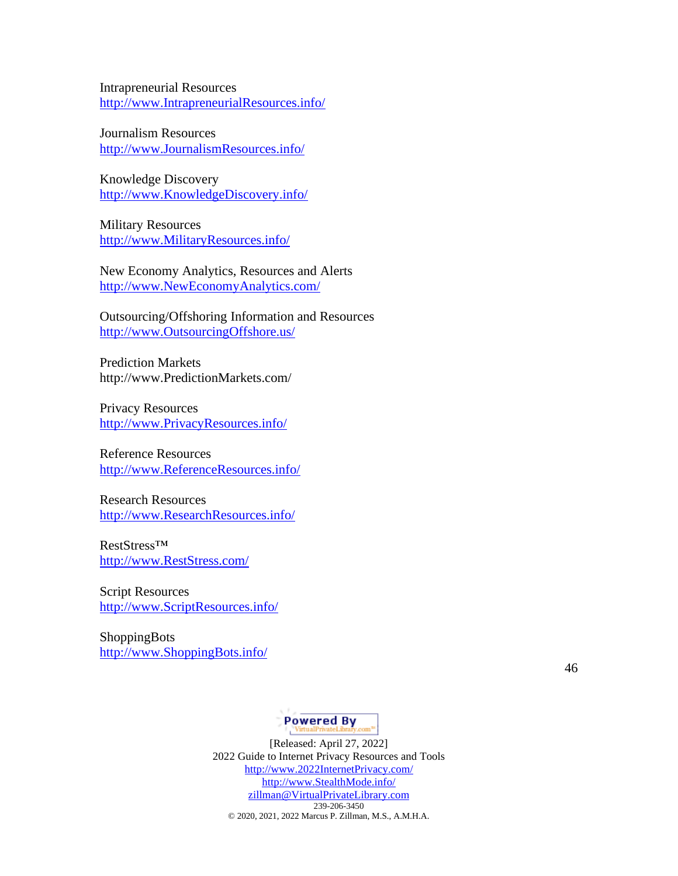Intrapreneurial Resources [http://www.IntrapreneurialResources.info/](http://www.intrapreneurialresources.info/)

Journalism Resources [http://www.JournalismResources.info/](http://www.journalismresources.info/)

Knowledge Discovery [http://www.KnowledgeDiscovery.info/](http://www.knowledgediscovery.info/)

Military Resources [http://www.MilitaryResources.info/](http://www.militaryresources.info/)

New Economy Analytics, Resources and Alerts [http://www.NewEconomyAnalytics.com/](http://www.neweconomyanalytics.com/)

Outsourcing/Offshoring Information and Resources [http://www.OutsourcingOffshore.us/](http://www.outsourcingoffshore.us/)

Prediction Markets http://www.PredictionMarkets.com/

Privacy Resources [http://www.PrivacyResources.info/](http://www.privacyresources.info/)

Reference Resources [http://www.ReferenceResources.info/](http://www.referenceresources.info/)

Research Resources [http://www.ResearchResources.info/](http://www.researchresources.info/)

RestStress™ [http://www.RestStress.com/](http://www.reststress.com/)

Script Resources [http://www.ScriptResources.info/](http://www.scriptresources.info/)

ShoppingBots [http://www.ShoppingBots.info/](http://www.shoppingbots.info/)

46

# **Powered By**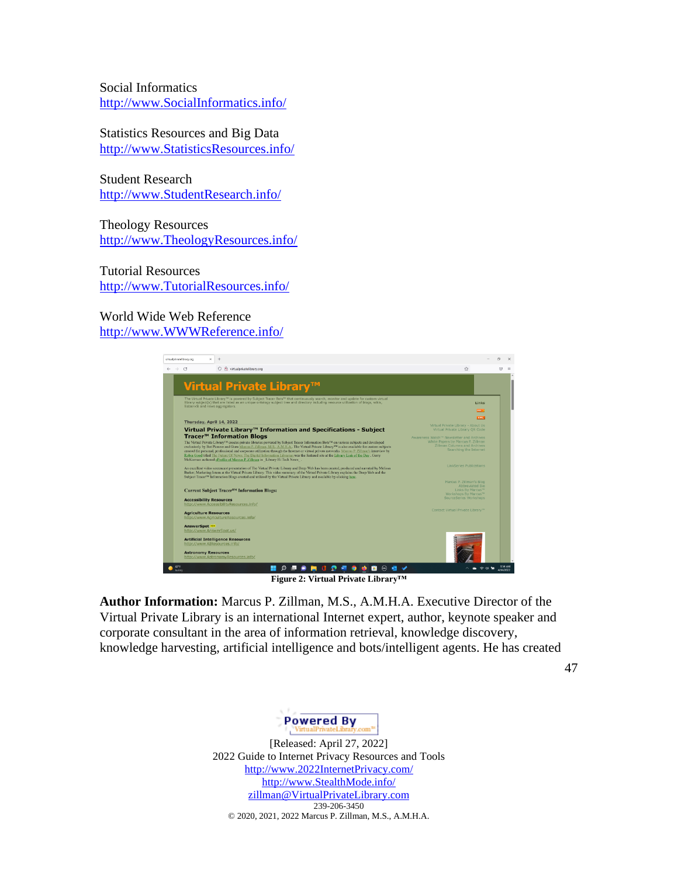Social Informatics [http://www.SocialInformatics.info/](http://www.socialinformatics.info/)

Statistics Resources and Big Data [http://www.StatisticsResources.info/](http://www.statisticsresources.info/)

Student Research [http://www.StudentResearch.info/](http://www.studentresearch.info/)

Theology Resources [http://www.TheologyResources.info/](http://www.theologyresources.info/)

Tutorial Resources [http://www.TutorialResources.info/](http://www.tutorialresources.info/)

World Wide Web Reference [http://www.WWWReference.info/](http://www.wwwreference.info/)

| virtual privateli brary.ceg<br>$\times$                                                                                                                                                                                                                                                                                                                                                                                                                                                                                                                                                                                                                                                            |                                                                                                                                                      |
|----------------------------------------------------------------------------------------------------------------------------------------------------------------------------------------------------------------------------------------------------------------------------------------------------------------------------------------------------------------------------------------------------------------------------------------------------------------------------------------------------------------------------------------------------------------------------------------------------------------------------------------------------------------------------------------------------|------------------------------------------------------------------------------------------------------------------------------------------------------|
| Ne virtualprivatelibrary.org<br>$\rightarrow$ $\alpha$<br>Ω                                                                                                                                                                                                                                                                                                                                                                                                                                                                                                                                                                                                                                        | ☆<br>$\overline{\nabla}$<br>$\equiv$                                                                                                                 |
| Virtual Private Library <sup>™</sup>                                                                                                                                                                                                                                                                                                                                                                                                                                                                                                                                                                                                                                                               |                                                                                                                                                      |
| The Virtual Private Library <sup>rm</sup> is powered by Subject Tracer Bots <sup>1m</sup> that continuously search, monitor and update for custom virtual<br>library subject(s) that are listed as an unique ontology subject tree and directory including resource utilization of blogs, wikis,<br>listserv® and news aggregators.                                                                                                                                                                                                                                                                                                                                                                | Links                                                                                                                                                |
|                                                                                                                                                                                                                                                                                                                                                                                                                                                                                                                                                                                                                                                                                                    |                                                                                                                                                      |
| Thursday, April 14, 2022                                                                                                                                                                                                                                                                                                                                                                                                                                                                                                                                                                                                                                                                           | <b>XML</b>                                                                                                                                           |
| Virtual Private Library™ Information and Specifications - Subject                                                                                                                                                                                                                                                                                                                                                                                                                                                                                                                                                                                                                                  | Virtual Private Library - About Us<br>Virtual Private Library OR Code                                                                                |
| Tracer <sup>™</sup> Information Blogs<br>The Virtual Private Library™ creates private libraries powered by Subject Tracer Information Bots™ on various subjects and developed<br>exclusively by Bot Pioneer and Guru Marcus P. Zillman, M.S., A.M.H.A The Virtual Private Library™ is also available for custom subjects<br>created for personal, professional and corporate utilization through the Internet or virtual private networks. Marcus P. Zillman's interview by<br>Robin Good titled The Future Of News: The Digital Information Librarian was the featured site at the Library Link of the Day . Gerry.<br>McKiernan authored cProfile of Marcus P. Zillman in Library Hi Tech News . | Awareness Watch <sup>7H</sup> Newsletter and Archives<br>White Papers by Marcus P. Zillman<br>Zillman Columns and Archives<br>Searching the Internet |
| An excellent video screencast presentation of The Virtual Private Library and Deep Web has been created, produced and narrated by Melissa<br>Barker, Marketing Intern at the Virtual Private Library. This video summary of the Virtual Private Library explains the Deep Web and the<br>Subject Tracer <sup>TM</sup> Information Blogs created and utilized by the Virtual Private Library and available by clicking here.                                                                                                                                                                                                                                                                        | LinkSeries Publications                                                                                                                              |
| Current Subject Tracer™ Information Blogs:                                                                                                                                                                                                                                                                                                                                                                                                                                                                                                                                                                                                                                                         | Marcus P. Zillman's Blog<br>Abbreviated Bio<br>Links By Marcus <sup>m</sup>                                                                          |
| <b>Accessibility Resources</b><br>http://www.AccessibilityResources.info/                                                                                                                                                                                                                                                                                                                                                                                                                                                                                                                                                                                                                          | Workshops By Marcus <sup>TH</sup><br>SourceSeries Workshops                                                                                          |
| <b>Agriculture Resources</b><br>http://www.AgricultureResources.info/                                                                                                                                                                                                                                                                                                                                                                                                                                                                                                                                                                                                                              | Contact Virtual Private Library <sup>114</sup>                                                                                                       |
| AnswerSpot<br>http://www.AnswerSpot.us/                                                                                                                                                                                                                                                                                                                                                                                                                                                                                                                                                                                                                                                            |                                                                                                                                                      |
| <b>Artificial Intelligence Resources</b><br>http://www.AIResources.info/                                                                                                                                                                                                                                                                                                                                                                                                                                                                                                                                                                                                                           |                                                                                                                                                      |
| <b>Astronomy Resources</b><br>http://www.AstronomyResources.info/                                                                                                                                                                                                                                                                                                                                                                                                                                                                                                                                                                                                                                  |                                                                                                                                                      |
| 42°F<br><b>DESMUDES</b><br>₩<br>◉੶                                                                                                                                                                                                                                                                                                                                                                                                                                                                                                                                                                                                                                                                 | 9:54 AM<br>4/14/2022                                                                                                                                 |
| Figure 2: Virtual Private Librarv™                                                                                                                                                                                                                                                                                                                                                                                                                                                                                                                                                                                                                                                                 |                                                                                                                                                      |

**Author Information:** Marcus P. Zillman, M.S., A.M.H.A. Executive Director of the Virtual Private Library is an international Internet expert, author, keynote speaker and corporate consultant in the area of information retrieval, knowledge discovery, knowledge harvesting, artificial intelligence and bots/intelligent agents. He has created

47

Powered By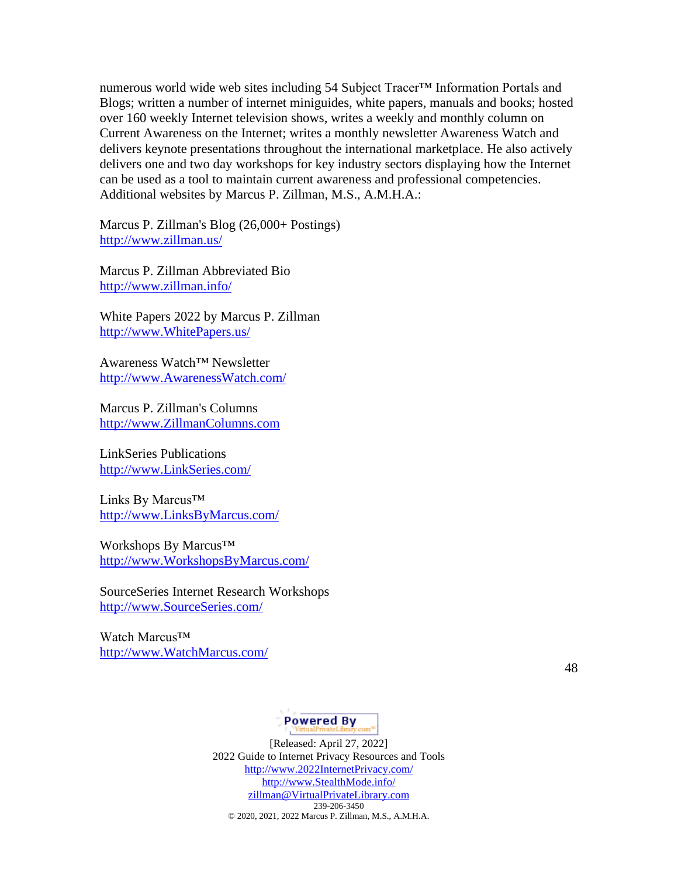numerous world wide web sites including 54 Subject Tracer<sup>™</sup> Information Portals and Blogs; written a number of internet miniguides, white papers, manuals and books; hosted over 160 weekly Internet television shows, writes a weekly and monthly column on Current Awareness on the Internet; writes a monthly newsletter Awareness Watch and delivers keynote presentations throughout the international marketplace. He also actively delivers one and two day workshops for key industry sectors displaying how the Internet can be used as a tool to maintain current awareness and professional competencies. Additional websites by Marcus P. Zillman, M.S., A.M.H.A.:

Marcus P. Zillman's Blog (26,000+ Postings) <http://www.zillman.us/>

Marcus P. Zillman Abbreviated Bio <http://www.zillman.info/>

White Papers 2022 by Marcus P. Zillman [http://www.WhitePapers.us/](http://www.whitepapers.us/)

Awareness Watch™ Newsletter [http://www.AwarenessWatch.com/](http://www.awarenesswatch.com/)

Marcus P. Zillman's Columns [http://www.ZillmanColumns.com](http://www.zillmancolumns.com/)

LinkSeries Publications [http://www.LinkSeries.com/](http://www.linkseries.com/)

Links By Marcus™ [http://www.LinksByMarcus.com/](http://www.linksbymarcus.com/)

Workshops By Marcus<sup>™</sup> [http://www.WorkshopsByMarcus.com/](http://www.workshopsbymarcus.com/)

SourceSeries Internet Research Workshops [http://www.SourceSeries.com/](http://www.sourceseries.com/)

Watch Marcus<sup>™</sup> [http://www.WatchMarcus.com/](http://www.watchmarcus.com/)

48

# **Powered By**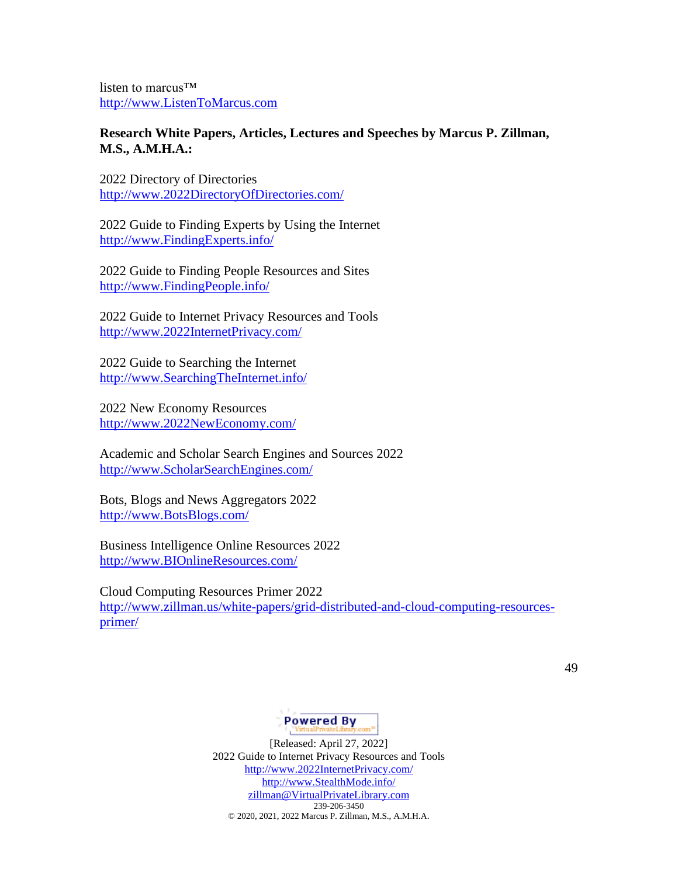listen to marcus™ [http://www.ListenToMarcus.com](http://www.listentomarcus.com/)

### **Research White Papers, Articles, Lectures and Speeches by Marcus P. Zillman, M.S., A.M.H.A.:**

2022 Directory of Directories [http://www.2022DirectoryOfDirectories.com/](http://www.2022directoryofdirectories.com/)

2022 Guide to Finding Experts by Using the Internet [http://www.FindingExperts.info/](http://www.findingexperts.info/)

2022 Guide to Finding People Resources and Sites [http://www.FindingPeople.info/](http://www.findingpeople.info/)

2022 Guide to Internet Privacy Resources and Tools [http://www.2022InternetPrivacy.com/](http://www.2022internetprivacy.com/)

2022 Guide to Searching the Internet [http://www.SearchingTheInternet.info/](http://www.searchingtheinternet.info/)

2022 New Economy Resources [http://www.2022NewEconomy.com/](http://www.2022neweconomy.com/)

Academic and Scholar Search Engines and Sources 2022 [http://www.ScholarSearchEngines.com/](http://www.scholarsearchengines.com/)

Bots, Blogs and News Aggregators 2022 [http://www.BotsBlogs.com/](http://www.botsblogs.com/)

Business Intelligence Online Resources 2022 [http://www.BIOnlineResources.com/](http://www.bionlineresources.com/)

Cloud Computing Resources Primer 2022

[http://www.zillman.us/white-papers/grid-distributed-and-cloud-computing-resources](http://www.zillman.us/white-papers/grid-distributed-and-cloud-computing-resources-primer/)[primer/](http://www.zillman.us/white-papers/grid-distributed-and-cloud-computing-resources-primer/)

49

# **Powered By**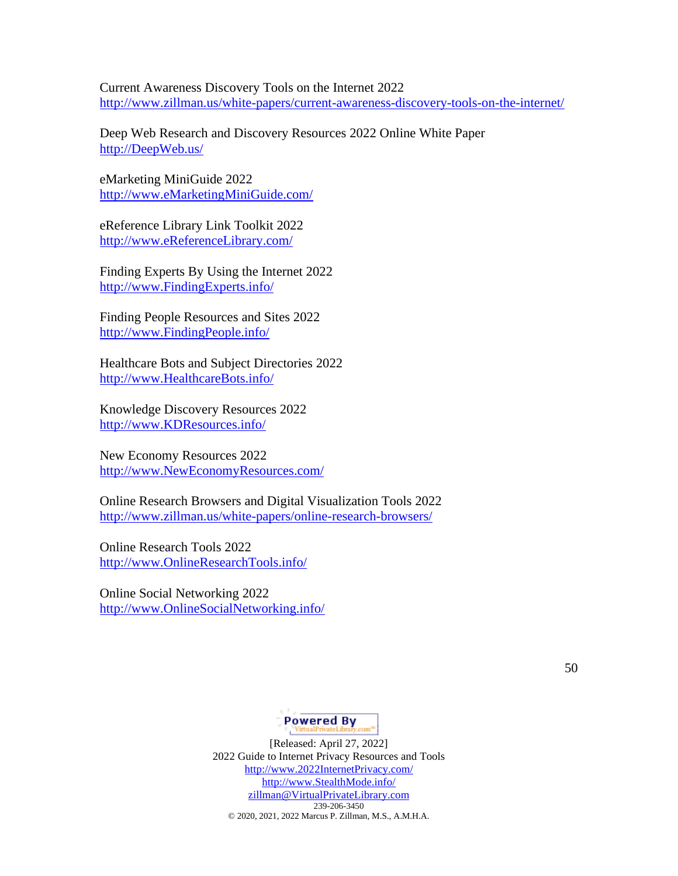Current Awareness Discovery Tools on the Internet 2022 <http://www.zillman.us/white-papers/current-awareness-discovery-tools-on-the-internet/>

Deep Web Research and Discovery Resources 2022 Online White Paper [http://DeepWeb.us/](http://deepweb.us/)

eMarketing MiniGuide 2022 [http://www.eMarketingMiniGuide.com/](http://www.emarketingminiguide.com/)

eReference Library Link Toolkit 2022 [http://www.eReferenceLibrary.com/](http://www.ereferencelibrary.com/)

Finding Experts By Using the Internet 2022 [http://www.FindingExperts.info/](http://www.findingexperts.info/)

Finding People Resources and Sites 2022 [http://www.FindingPeople.info/](http://www.findingpeople.info/)

Healthcare Bots and Subject Directories 2022 [http://www.HealthcareBots.info/](http://www.healthcarebots.info/)

Knowledge Discovery Resources 2022 [http://www.KDResources.info/](http://www.kdresources.info/)

New Economy Resources 2022 [http://www.NewEconomyResources.com/](http://www.neweconomyresources.com/)

Online Research Browsers and Digital Visualization Tools 2022 <http://www.zillman.us/white-papers/online-research-browsers/>

Online Research Tools 2022 [http://www.OnlineResearchTools.info/](http://www.onlineresearchtools.info/)

Online Social Networking 2022 [http://www.OnlineSocialNetworking.info/](http://www.onlinesocialnetworking.info/)

**Powered By** 

[Released: April 27, 2022] 2022 Guide to Internet Privacy Resources and Tools [http://www.2022InternetPrivacy.com/](http://www.2022internetprivacy.com/) [http://www.StealthMode.info/](http://www.stealthmode.info/) [zillman@VirtualPrivateLibrary.com](mailto:zillman@VirtualPrivateLibrary.com) 239-206-3450 © 2020, 2021, 2022 Marcus P. Zillman, M.S., A.M.H.A.

50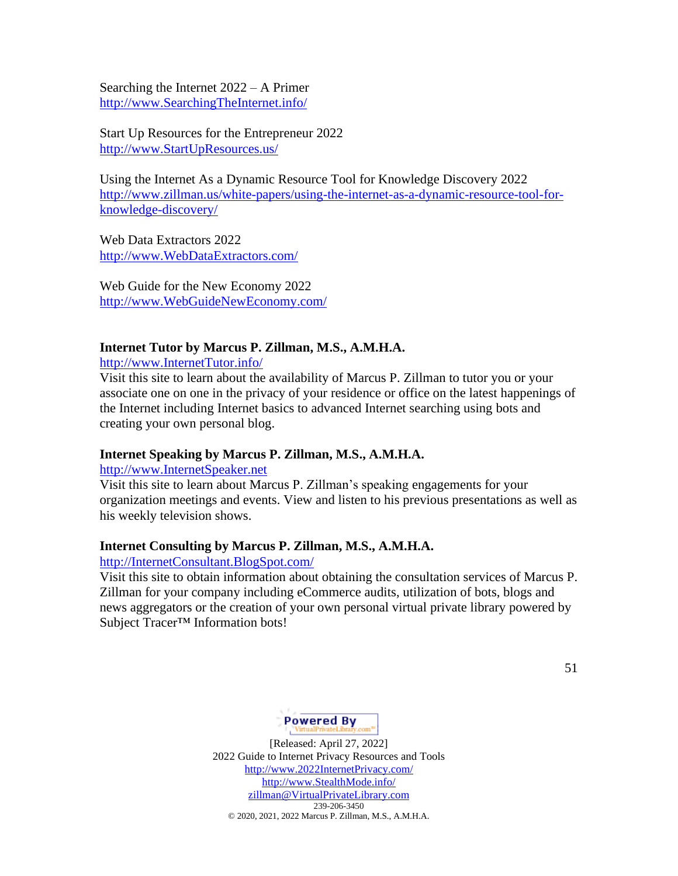Searching the Internet 2022 – A Primer [http://www.SearchingTheInternet.info/](http://www.searchingtheinternet.info/)

Start Up Resources for the Entrepreneur 2022 [http://www.StartUpResources.us/](http://www.startupresources.us/)

Using the Internet As a Dynamic Resource Tool for Knowledge Discovery 2022 [http://www.zillman.us/white-papers/using-the-internet-as-a-dynamic-resource-tool-for](http://www.zillman.us/white-papers/using-the-internet-as-a-dynamic-resource-tool-for-knowledge-discovery/)[knowledge-discovery/](http://www.zillman.us/white-papers/using-the-internet-as-a-dynamic-resource-tool-for-knowledge-discovery/)

Web Data Extractors 2022 [http://www.WebDataExtractors.com/](http://www.webdataextractors.com/)

Web Guide for the New Economy 2022 [http://www.WebGuideNewEconomy.com/](http://www.webguideneweconomy.com/)

### **Internet Tutor by Marcus P. Zillman, M.S., A.M.H.A.**

[http://www.InternetTutor.info/](http://www.internettutor.info/) 

Visit this site to learn about the availability of Marcus P. Zillman to tutor you or your associate one on one in the privacy of your residence or office on the latest happenings of the Internet including Internet basics to advanced Internet searching using bots and creating your own personal blog.

#### **Internet Speaking by Marcus P. Zillman, M.S., A.M.H.A.**

[http://www.InternetSpeaker.net](http://www.internetspeaker.net/)

Visit this site to learn about Marcus P. Zillman's speaking engagements for your organization meetings and events. View and listen to his previous presentations as well as his weekly television shows.

#### **Internet Consulting by Marcus P. Zillman, M.S., A.M.H.A.**

[http://InternetConsultant.BlogSpot.com/](http://internetconsultant.blogspot.com/) 

Visit this site to obtain information about obtaining the consultation services of Marcus P. Zillman for your company including eCommerce audits, utilization of bots, blogs and news aggregators or the creation of your own personal virtual private library powered by Subject Tracer™ Information bots!

51

# **Powered By**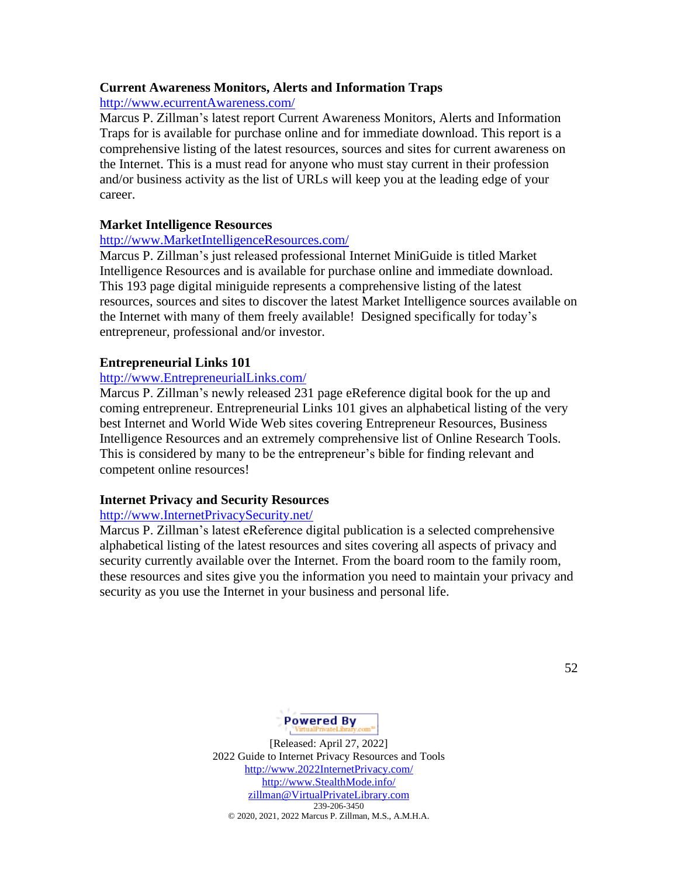### **Current Awareness Monitors, Alerts and Information Traps**

[http://www.ecurrentAwareness.com/](http://www.ecurrentawareness.com/) 

Marcus P. Zillman's latest report Current Awareness Monitors, Alerts and Information Traps for is available for purchase online and for immediate download. This report is a comprehensive listing of the latest resources, sources and sites for current awareness on the Internet. This is a must read for anyone who must stay current in their profession and/or business activity as the list of URLs will keep you at the leading edge of your career.

### **Market Intelligence Resources**

### [http://www.MarketIntelligenceResources.com/](http://www.marketintelligenceresources.com/)

Marcus P. Zillman's just released professional Internet MiniGuide is titled Market Intelligence Resources and is available for purchase online and immediate download. This 193 page digital miniguide represents a comprehensive listing of the latest resources, sources and sites to discover the latest Market Intelligence sources available on the Internet with many of them freely available! Designed specifically for today's entrepreneur, professional and/or investor.

# **Entrepreneurial Links 101**

### [http://www.EntrepreneurialLinks.com/](http://www.entrepreneuriallinks.com/)

Marcus P. Zillman's newly released 231 page eReference digital book for the up and coming entrepreneur. Entrepreneurial Links 101 gives an alphabetical listing of the very best Internet and World Wide Web sites covering Entrepreneur Resources, Business Intelligence Resources and an extremely comprehensive list of Online Research Tools. This is considered by many to be the entrepreneur's bible for finding relevant and competent online resources!

### **Internet Privacy and Security Resources**

### [http://www.InternetPrivacySecurity.net/](http://www.internetprivacysecurity.net/)

Marcus P. Zillman's latest eReference digital publication is a selected comprehensive alphabetical listing of the latest resources and sites covering all aspects of privacy and security currently available over the Internet. From the board room to the family room, these resources and sites give you the information you need to maintain your privacy and security as you use the Internet in your business and personal life.

52

# **Powered By**